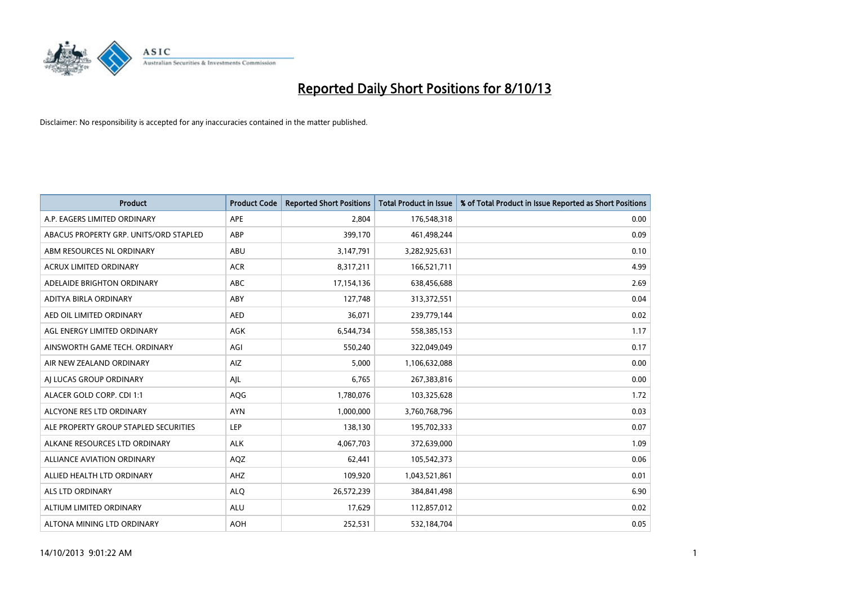

| <b>Product</b>                         | <b>Product Code</b> | <b>Reported Short Positions</b> | <b>Total Product in Issue</b> | % of Total Product in Issue Reported as Short Positions |
|----------------------------------------|---------------------|---------------------------------|-------------------------------|---------------------------------------------------------|
| A.P. EAGERS LIMITED ORDINARY           | APE                 | 2,804                           | 176,548,318                   | 0.00                                                    |
| ABACUS PROPERTY GRP. UNITS/ORD STAPLED | ABP                 | 399,170                         | 461,498,244                   | 0.09                                                    |
| ABM RESOURCES NL ORDINARY              | ABU                 | 3,147,791                       | 3,282,925,631                 | 0.10                                                    |
| ACRUX LIMITED ORDINARY                 | <b>ACR</b>          | 8,317,211                       | 166,521,711                   | 4.99                                                    |
| ADELAIDE BRIGHTON ORDINARY             | <b>ABC</b>          | 17,154,136                      | 638,456,688                   | 2.69                                                    |
| ADITYA BIRLA ORDINARY                  | ABY                 | 127,748                         | 313,372,551                   | 0.04                                                    |
| AED OIL LIMITED ORDINARY               | <b>AED</b>          | 36,071                          | 239,779,144                   | 0.02                                                    |
| AGL ENERGY LIMITED ORDINARY            | AGK                 | 6,544,734                       | 558,385,153                   | 1.17                                                    |
| AINSWORTH GAME TECH. ORDINARY          | AGI                 | 550,240                         | 322,049,049                   | 0.17                                                    |
| AIR NEW ZEALAND ORDINARY               | <b>AIZ</b>          | 5,000                           | 1,106,632,088                 | 0.00                                                    |
| AI LUCAS GROUP ORDINARY                | AJL                 | 6,765                           | 267,383,816                   | 0.00                                                    |
| ALACER GOLD CORP. CDI 1:1              | AQG                 | 1,780,076                       | 103,325,628                   | 1.72                                                    |
| ALCYONE RES LTD ORDINARY               | <b>AYN</b>          | 1,000,000                       | 3,760,768,796                 | 0.03                                                    |
| ALE PROPERTY GROUP STAPLED SECURITIES  | LEP                 | 138,130                         | 195,702,333                   | 0.07                                                    |
| ALKANE RESOURCES LTD ORDINARY          | <b>ALK</b>          | 4,067,703                       | 372,639,000                   | 1.09                                                    |
| ALLIANCE AVIATION ORDINARY             | AQZ                 | 62,441                          | 105,542,373                   | 0.06                                                    |
| ALLIED HEALTH LTD ORDINARY             | AHZ                 | 109,920                         | 1,043,521,861                 | 0.01                                                    |
| <b>ALS LTD ORDINARY</b>                | <b>ALQ</b>          | 26,572,239                      | 384, 841, 498                 | 6.90                                                    |
| ALTIUM LIMITED ORDINARY                | <b>ALU</b>          | 17,629                          | 112,857,012                   | 0.02                                                    |
| ALTONA MINING LTD ORDINARY             | <b>AOH</b>          | 252,531                         | 532,184,704                   | 0.05                                                    |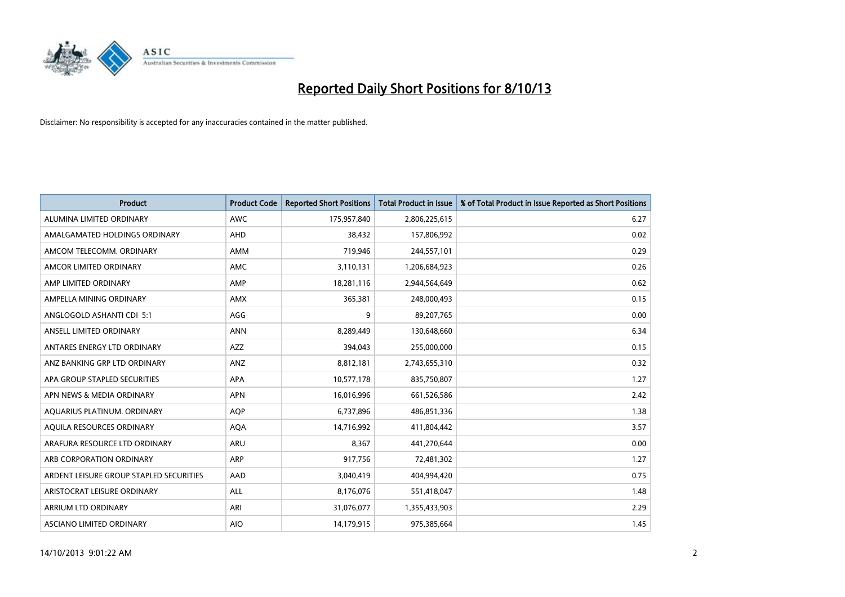

| <b>Product</b>                          | <b>Product Code</b> | <b>Reported Short Positions</b> | <b>Total Product in Issue</b> | % of Total Product in Issue Reported as Short Positions |
|-----------------------------------------|---------------------|---------------------------------|-------------------------------|---------------------------------------------------------|
| ALUMINA LIMITED ORDINARY                | <b>AWC</b>          | 175,957,840                     | 2,806,225,615                 | 6.27                                                    |
| AMALGAMATED HOLDINGS ORDINARY           | AHD                 | 38,432                          | 157,806,992                   | 0.02                                                    |
| AMCOM TELECOMM, ORDINARY                | AMM                 | 719,946                         | 244,557,101                   | 0.29                                                    |
| AMCOR LIMITED ORDINARY                  | AMC                 | 3,110,131                       | 1,206,684,923                 | 0.26                                                    |
| AMP LIMITED ORDINARY                    | AMP                 | 18,281,116                      | 2,944,564,649                 | 0.62                                                    |
| AMPELLA MINING ORDINARY                 | AMX                 | 365,381                         | 248,000,493                   | 0.15                                                    |
| ANGLOGOLD ASHANTI CDI 5:1               | AGG                 | 9                               | 89,207,765                    | 0.00                                                    |
| ANSELL LIMITED ORDINARY                 | <b>ANN</b>          | 8,289,449                       | 130,648,660                   | 6.34                                                    |
| ANTARES ENERGY LTD ORDINARY             | <b>AZZ</b>          | 394,043                         | 255,000,000                   | 0.15                                                    |
| ANZ BANKING GRP LTD ORDINARY            | ANZ                 | 8,812,181                       | 2,743,655,310                 | 0.32                                                    |
| APA GROUP STAPLED SECURITIES            | APA                 | 10,577,178                      | 835,750,807                   | 1.27                                                    |
| APN NEWS & MEDIA ORDINARY               | <b>APN</b>          | 16,016,996                      | 661,526,586                   | 2.42                                                    |
| AQUARIUS PLATINUM. ORDINARY             | <b>AOP</b>          | 6,737,896                       | 486,851,336                   | 1.38                                                    |
| AOUILA RESOURCES ORDINARY               | <b>AQA</b>          | 14,716,992                      | 411,804,442                   | 3.57                                                    |
| ARAFURA RESOURCE LTD ORDINARY           | ARU                 | 8,367                           | 441,270,644                   | 0.00                                                    |
| ARB CORPORATION ORDINARY                | <b>ARP</b>          | 917,756                         | 72,481,302                    | 1.27                                                    |
| ARDENT LEISURE GROUP STAPLED SECURITIES | AAD                 | 3,040,419                       | 404,994,420                   | 0.75                                                    |
| ARISTOCRAT LEISURE ORDINARY             | ALL                 | 8,176,076                       | 551,418,047                   | 1.48                                                    |
| ARRIUM LTD ORDINARY                     | ARI                 | 31,076,077                      | 1,355,433,903                 | 2.29                                                    |
| ASCIANO LIMITED ORDINARY                | <b>AIO</b>          | 14,179,915                      | 975,385,664                   | 1.45                                                    |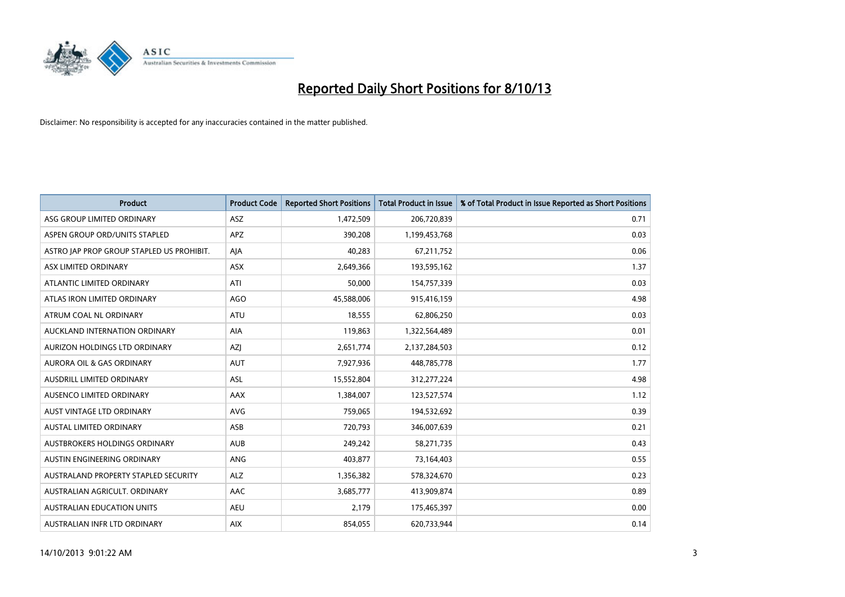

| <b>Product</b>                            | <b>Product Code</b> | <b>Reported Short Positions</b> | <b>Total Product in Issue</b> | % of Total Product in Issue Reported as Short Positions |
|-------------------------------------------|---------------------|---------------------------------|-------------------------------|---------------------------------------------------------|
| ASG GROUP LIMITED ORDINARY                | ASZ                 | 1,472,509                       | 206,720,839                   | 0.71                                                    |
| ASPEN GROUP ORD/UNITS STAPLED             | APZ                 | 390,208                         | 1,199,453,768                 | 0.03                                                    |
| ASTRO JAP PROP GROUP STAPLED US PROHIBIT. | AJA                 | 40,283                          | 67,211,752                    | 0.06                                                    |
| ASX LIMITED ORDINARY                      | ASX                 | 2,649,366                       | 193,595,162                   | 1.37                                                    |
| ATLANTIC LIMITED ORDINARY                 | ATI                 | 50,000                          | 154,757,339                   | 0.03                                                    |
| ATLAS IRON LIMITED ORDINARY               | <b>AGO</b>          | 45,588,006                      | 915,416,159                   | 4.98                                                    |
| ATRUM COAL NL ORDINARY                    | ATU                 | 18,555                          | 62,806,250                    | 0.03                                                    |
| AUCKLAND INTERNATION ORDINARY             | AIA                 | 119,863                         | 1,322,564,489                 | 0.01                                                    |
| AURIZON HOLDINGS LTD ORDINARY             | AZJ                 | 2,651,774                       | 2,137,284,503                 | 0.12                                                    |
| <b>AURORA OIL &amp; GAS ORDINARY</b>      | <b>AUT</b>          | 7,927,936                       | 448,785,778                   | 1.77                                                    |
| AUSDRILL LIMITED ORDINARY                 | ASL                 | 15,552,804                      | 312,277,224                   | 4.98                                                    |
| AUSENCO LIMITED ORDINARY                  | AAX                 | 1,384,007                       | 123,527,574                   | 1.12                                                    |
| AUST VINTAGE LTD ORDINARY                 | <b>AVG</b>          | 759,065                         | 194,532,692                   | 0.39                                                    |
| <b>AUSTAL LIMITED ORDINARY</b>            | ASB                 | 720,793                         | 346,007,639                   | 0.21                                                    |
| AUSTBROKERS HOLDINGS ORDINARY             | <b>AUB</b>          | 249,242                         | 58,271,735                    | 0.43                                                    |
| AUSTIN ENGINEERING ORDINARY               | ANG                 | 403,877                         | 73,164,403                    | 0.55                                                    |
| AUSTRALAND PROPERTY STAPLED SECURITY      | <b>ALZ</b>          | 1,356,382                       | 578,324,670                   | 0.23                                                    |
| AUSTRALIAN AGRICULT. ORDINARY             | AAC                 | 3,685,777                       | 413,909,874                   | 0.89                                                    |
| <b>AUSTRALIAN EDUCATION UNITS</b>         | <b>AEU</b>          | 2,179                           | 175,465,397                   | 0.00                                                    |
| AUSTRALIAN INFR LTD ORDINARY              | <b>AIX</b>          | 854,055                         | 620,733,944                   | 0.14                                                    |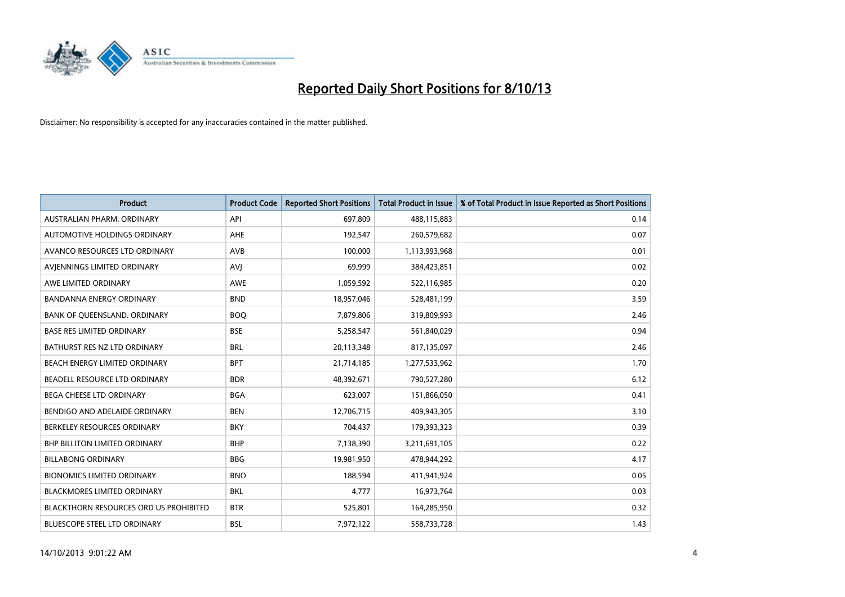

| <b>Product</b>                                | <b>Product Code</b> | <b>Reported Short Positions</b> | <b>Total Product in Issue</b> | % of Total Product in Issue Reported as Short Positions |
|-----------------------------------------------|---------------------|---------------------------------|-------------------------------|---------------------------------------------------------|
| AUSTRALIAN PHARM, ORDINARY                    | API                 | 697,809                         | 488,115,883                   | 0.14                                                    |
| AUTOMOTIVE HOLDINGS ORDINARY                  | AHE                 | 192,547                         | 260,579,682                   | 0.07                                                    |
| AVANCO RESOURCES LTD ORDINARY                 | AVB                 | 100,000                         | 1,113,993,968                 | 0.01                                                    |
| AVJENNINGS LIMITED ORDINARY                   | <b>AVJ</b>          | 69,999                          | 384,423,851                   | 0.02                                                    |
| AWE LIMITED ORDINARY                          | <b>AWE</b>          | 1,059,592                       | 522,116,985                   | 0.20                                                    |
| <b>BANDANNA ENERGY ORDINARY</b>               | <b>BND</b>          | 18,957,046                      | 528,481,199                   | 3.59                                                    |
| BANK OF QUEENSLAND. ORDINARY                  | <b>BOO</b>          | 7,879,806                       | 319,809,993                   | 2.46                                                    |
| <b>BASE RES LIMITED ORDINARY</b>              | <b>BSE</b>          | 5,258,547                       | 561,840,029                   | 0.94                                                    |
| BATHURST RES NZ LTD ORDINARY                  | <b>BRL</b>          | 20,113,348                      | 817,135,097                   | 2.46                                                    |
| BEACH ENERGY LIMITED ORDINARY                 | <b>BPT</b>          | 21,714,185                      | 1,277,533,962                 | 1.70                                                    |
| BEADELL RESOURCE LTD ORDINARY                 | <b>BDR</b>          | 48,392,671                      | 790,527,280                   | 6.12                                                    |
| <b>BEGA CHEESE LTD ORDINARY</b>               | <b>BGA</b>          | 623,007                         | 151,866,050                   | 0.41                                                    |
| BENDIGO AND ADELAIDE ORDINARY                 | <b>BEN</b>          | 12,706,715                      | 409,943,305                   | 3.10                                                    |
| BERKELEY RESOURCES ORDINARY                   | <b>BKY</b>          | 704,437                         | 179,393,323                   | 0.39                                                    |
| <b>BHP BILLITON LIMITED ORDINARY</b>          | <b>BHP</b>          | 7,138,390                       | 3,211,691,105                 | 0.22                                                    |
| <b>BILLABONG ORDINARY</b>                     | <b>BBG</b>          | 19,981,950                      | 478,944,292                   | 4.17                                                    |
| <b>BIONOMICS LIMITED ORDINARY</b>             | <b>BNO</b>          | 188,594                         | 411,941,924                   | 0.05                                                    |
| <b>BLACKMORES LIMITED ORDINARY</b>            | <b>BKL</b>          | 4,777                           | 16,973,764                    | 0.03                                                    |
| <b>BLACKTHORN RESOURCES ORD US PROHIBITED</b> | <b>BTR</b>          | 525,801                         | 164,285,950                   | 0.32                                                    |
| BLUESCOPE STEEL LTD ORDINARY                  | <b>BSL</b>          | 7,972,122                       | 558,733,728                   | 1.43                                                    |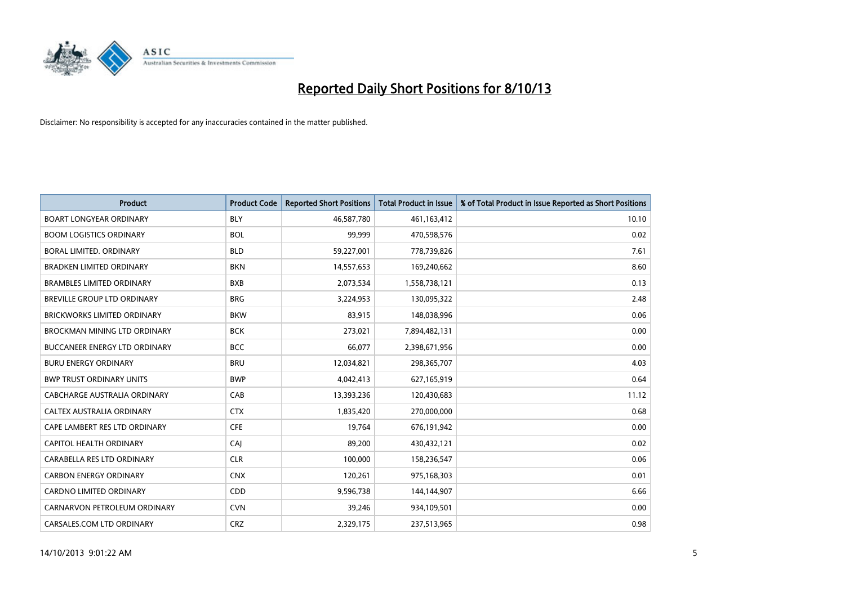

| <b>Product</b>                      | <b>Product Code</b> | <b>Reported Short Positions</b> | <b>Total Product in Issue</b> | % of Total Product in Issue Reported as Short Positions |
|-------------------------------------|---------------------|---------------------------------|-------------------------------|---------------------------------------------------------|
| <b>BOART LONGYEAR ORDINARY</b>      | <b>BLY</b>          | 46,587,780                      | 461,163,412                   | 10.10                                                   |
| <b>BOOM LOGISTICS ORDINARY</b>      | <b>BOL</b>          | 99.999                          | 470,598,576                   | 0.02                                                    |
| <b>BORAL LIMITED, ORDINARY</b>      | <b>BLD</b>          | 59,227,001                      | 778,739,826                   | 7.61                                                    |
| <b>BRADKEN LIMITED ORDINARY</b>     | <b>BKN</b>          | 14,557,653                      | 169,240,662                   | 8.60                                                    |
| <b>BRAMBLES LIMITED ORDINARY</b>    | <b>BXB</b>          | 2,073,534                       | 1,558,738,121                 | 0.13                                                    |
| BREVILLE GROUP LTD ORDINARY         | <b>BRG</b>          | 3,224,953                       | 130,095,322                   | 2.48                                                    |
| <b>BRICKWORKS LIMITED ORDINARY</b>  | <b>BKW</b>          | 83.915                          | 148,038,996                   | 0.06                                                    |
| <b>BROCKMAN MINING LTD ORDINARY</b> | <b>BCK</b>          | 273,021                         | 7,894,482,131                 | 0.00                                                    |
| BUCCANEER ENERGY LTD ORDINARY       | <b>BCC</b>          | 66,077                          | 2,398,671,956                 | 0.00                                                    |
| <b>BURU ENERGY ORDINARY</b>         | <b>BRU</b>          | 12,034,821                      | 298,365,707                   | 4.03                                                    |
| <b>BWP TRUST ORDINARY UNITS</b>     | <b>BWP</b>          | 4,042,413                       | 627,165,919                   | 0.64                                                    |
| CABCHARGE AUSTRALIA ORDINARY        | CAB                 | 13,393,236                      | 120,430,683                   | 11.12                                                   |
| CALTEX AUSTRALIA ORDINARY           | <b>CTX</b>          | 1,835,420                       | 270,000,000                   | 0.68                                                    |
| CAPE LAMBERT RES LTD ORDINARY       | <b>CFE</b>          | 19.764                          | 676,191,942                   | 0.00                                                    |
| CAPITOL HEALTH ORDINARY             | CAI                 | 89,200                          | 430,432,121                   | 0.02                                                    |
| CARABELLA RES LTD ORDINARY          | <b>CLR</b>          | 100,000                         | 158,236,547                   | 0.06                                                    |
| <b>CARBON ENERGY ORDINARY</b>       | <b>CNX</b>          | 120,261                         | 975,168,303                   | 0.01                                                    |
| CARDNO LIMITED ORDINARY             | CDD                 | 9,596,738                       | 144,144,907                   | 6.66                                                    |
| CARNARVON PETROLEUM ORDINARY        | <b>CVN</b>          | 39,246                          | 934,109,501                   | 0.00                                                    |
| CARSALES.COM LTD ORDINARY           | <b>CRZ</b>          | 2,329,175                       | 237,513,965                   | 0.98                                                    |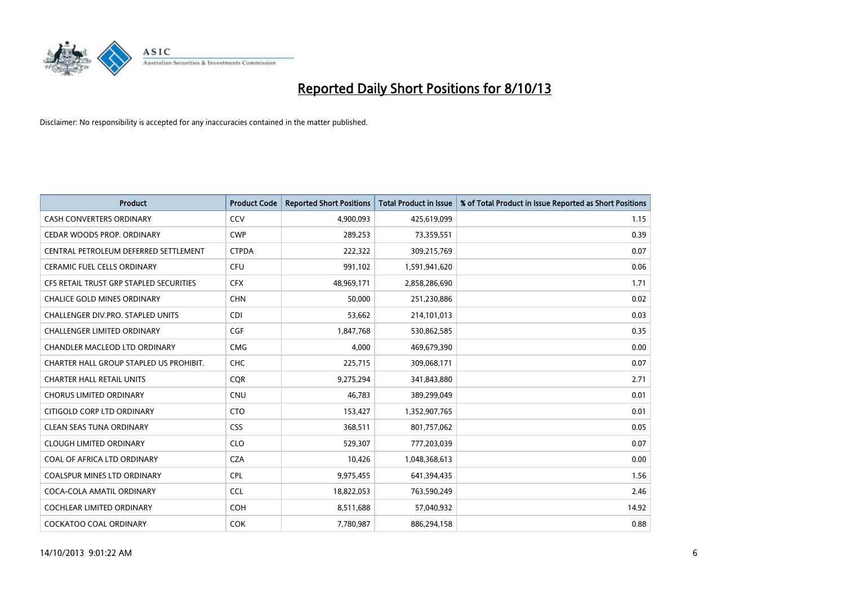

| <b>Product</b>                           | <b>Product Code</b> | <b>Reported Short Positions</b> | <b>Total Product in Issue</b> | % of Total Product in Issue Reported as Short Positions |
|------------------------------------------|---------------------|---------------------------------|-------------------------------|---------------------------------------------------------|
| <b>CASH CONVERTERS ORDINARY</b>          | CCV                 | 4,900,093                       | 425,619,099                   | 1.15                                                    |
| CEDAR WOODS PROP. ORDINARY               | <b>CWP</b>          | 289,253                         | 73,359,551                    | 0.39                                                    |
| CENTRAL PETROLEUM DEFERRED SETTLEMENT    | <b>CTPDA</b>        | 222,322                         | 309,215,769                   | 0.07                                                    |
| <b>CERAMIC FUEL CELLS ORDINARY</b>       | <b>CFU</b>          | 991,102                         | 1,591,941,620                 | 0.06                                                    |
| CFS RETAIL TRUST GRP STAPLED SECURITIES  | <b>CFX</b>          | 48,969,171                      | 2,858,286,690                 | 1.71                                                    |
| <b>CHALICE GOLD MINES ORDINARY</b>       | <b>CHN</b>          | 50,000                          | 251,230,886                   | 0.02                                                    |
| <b>CHALLENGER DIV.PRO. STAPLED UNITS</b> | <b>CDI</b>          | 53,662                          | 214,101,013                   | 0.03                                                    |
| <b>CHALLENGER LIMITED ORDINARY</b>       | <b>CGF</b>          | 1,847,768                       | 530,862,585                   | 0.35                                                    |
| CHANDLER MACLEOD LTD ORDINARY            | <b>CMG</b>          | 4,000                           | 469,679,390                   | 0.00                                                    |
| CHARTER HALL GROUP STAPLED US PROHIBIT.  | <b>CHC</b>          | 225,715                         | 309,068,171                   | 0.07                                                    |
| <b>CHARTER HALL RETAIL UNITS</b>         | <b>CQR</b>          | 9,275,294                       | 341,843,880                   | 2.71                                                    |
| <b>CHORUS LIMITED ORDINARY</b>           | <b>CNU</b>          | 46,783                          | 389,299,049                   | 0.01                                                    |
| CITIGOLD CORP LTD ORDINARY               | <b>CTO</b>          | 153,427                         | 1,352,907,765                 | 0.01                                                    |
| <b>CLEAN SEAS TUNA ORDINARY</b>          | <b>CSS</b>          | 368,511                         | 801,757,062                   | 0.05                                                    |
| <b>CLOUGH LIMITED ORDINARY</b>           | <b>CLO</b>          | 529,307                         | 777,203,039                   | 0.07                                                    |
| COAL OF AFRICA LTD ORDINARY              | <b>CZA</b>          | 10,426                          | 1,048,368,613                 | 0.00                                                    |
| COALSPUR MINES LTD ORDINARY              | <b>CPL</b>          | 9,975,455                       | 641,394,435                   | 1.56                                                    |
| COCA-COLA AMATIL ORDINARY                | <b>CCL</b>          | 18,822,053                      | 763,590,249                   | 2.46                                                    |
| <b>COCHLEAR LIMITED ORDINARY</b>         | <b>COH</b>          | 8,511,688                       | 57,040,932                    | 14.92                                                   |
| <b>COCKATOO COAL ORDINARY</b>            | <b>COK</b>          | 7,780,987                       | 886,294,158                   | 0.88                                                    |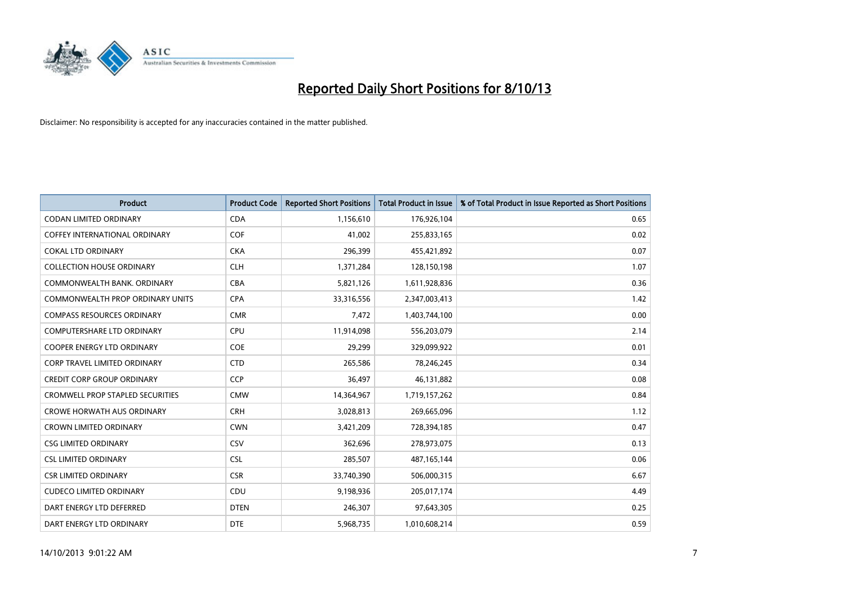

| <b>Product</b>                          | <b>Product Code</b> | <b>Reported Short Positions</b> | <b>Total Product in Issue</b> | % of Total Product in Issue Reported as Short Positions |
|-----------------------------------------|---------------------|---------------------------------|-------------------------------|---------------------------------------------------------|
| <b>CODAN LIMITED ORDINARY</b>           | <b>CDA</b>          | 1,156,610                       | 176,926,104                   | 0.65                                                    |
| COFFEY INTERNATIONAL ORDINARY           | <b>COF</b>          | 41,002                          | 255,833,165                   | 0.02                                                    |
| <b>COKAL LTD ORDINARY</b>               | <b>CKA</b>          | 296,399                         | 455,421,892                   | 0.07                                                    |
| <b>COLLECTION HOUSE ORDINARY</b>        | <b>CLH</b>          | 1,371,284                       | 128,150,198                   | 1.07                                                    |
| COMMONWEALTH BANK, ORDINARY             | <b>CBA</b>          | 5,821,126                       | 1,611,928,836                 | 0.36                                                    |
| <b>COMMONWEALTH PROP ORDINARY UNITS</b> | <b>CPA</b>          | 33,316,556                      | 2,347,003,413                 | 1.42                                                    |
| <b>COMPASS RESOURCES ORDINARY</b>       | <b>CMR</b>          | 7,472                           | 1,403,744,100                 | 0.00                                                    |
| <b>COMPUTERSHARE LTD ORDINARY</b>       | <b>CPU</b>          | 11,914,098                      | 556,203,079                   | 2.14                                                    |
| <b>COOPER ENERGY LTD ORDINARY</b>       | <b>COE</b>          | 29,299                          | 329,099,922                   | 0.01                                                    |
| <b>CORP TRAVEL LIMITED ORDINARY</b>     | <b>CTD</b>          | 265,586                         | 78,246,245                    | 0.34                                                    |
| <b>CREDIT CORP GROUP ORDINARY</b>       | CCP                 | 36,497                          | 46,131,882                    | 0.08                                                    |
| <b>CROMWELL PROP STAPLED SECURITIES</b> | <b>CMW</b>          | 14,364,967                      | 1,719,157,262                 | 0.84                                                    |
| <b>CROWE HORWATH AUS ORDINARY</b>       | <b>CRH</b>          | 3,028,813                       | 269,665,096                   | 1.12                                                    |
| <b>CROWN LIMITED ORDINARY</b>           | <b>CWN</b>          | 3,421,209                       | 728,394,185                   | 0.47                                                    |
| <b>CSG LIMITED ORDINARY</b>             | CSV                 | 362,696                         | 278,973,075                   | 0.13                                                    |
| <b>CSL LIMITED ORDINARY</b>             | <b>CSL</b>          | 285,507                         | 487, 165, 144                 | 0.06                                                    |
| <b>CSR LIMITED ORDINARY</b>             | <b>CSR</b>          | 33,740,390                      | 506,000,315                   | 6.67                                                    |
| <b>CUDECO LIMITED ORDINARY</b>          | CDU                 | 9,198,936                       | 205,017,174                   | 4.49                                                    |
| DART ENERGY LTD DEFERRED                | <b>DTEN</b>         | 246,307                         | 97,643,305                    | 0.25                                                    |
| DART ENERGY LTD ORDINARY                | <b>DTE</b>          | 5,968,735                       | 1,010,608,214                 | 0.59                                                    |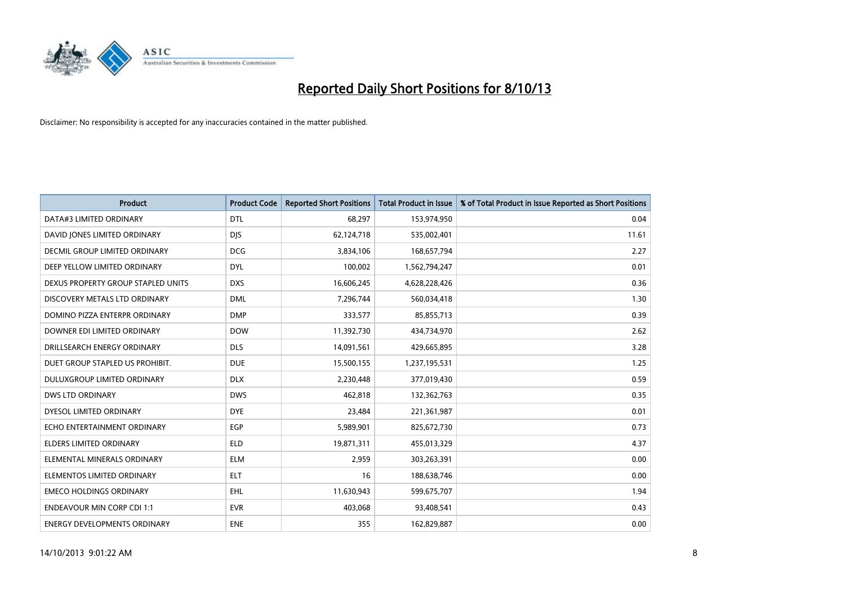

| <b>Product</b>                       | <b>Product Code</b> | <b>Reported Short Positions</b> | <b>Total Product in Issue</b> | % of Total Product in Issue Reported as Short Positions |
|--------------------------------------|---------------------|---------------------------------|-------------------------------|---------------------------------------------------------|
| DATA#3 LIMITED ORDINARY              | <b>DTL</b>          | 68,297                          | 153,974,950                   | 0.04                                                    |
| DAVID JONES LIMITED ORDINARY         | <b>DIS</b>          | 62,124,718                      | 535,002,401                   | 11.61                                                   |
| <b>DECMIL GROUP LIMITED ORDINARY</b> | <b>DCG</b>          | 3,834,106                       | 168,657,794                   | 2.27                                                    |
| DEEP YELLOW LIMITED ORDINARY         | <b>DYL</b>          | 100,002                         | 1,562,794,247                 | 0.01                                                    |
| DEXUS PROPERTY GROUP STAPLED UNITS   | <b>DXS</b>          | 16,606,245                      | 4,628,228,426                 | 0.36                                                    |
| DISCOVERY METALS LTD ORDINARY        | <b>DML</b>          | 7,296,744                       | 560,034,418                   | 1.30                                                    |
| DOMINO PIZZA ENTERPR ORDINARY        | <b>DMP</b>          | 333,577                         | 85,855,713                    | 0.39                                                    |
| DOWNER EDI LIMITED ORDINARY          | <b>DOW</b>          | 11,392,730                      | 434,734,970                   | 2.62                                                    |
| DRILLSEARCH ENERGY ORDINARY          | <b>DLS</b>          | 14,091,561                      | 429,665,895                   | 3.28                                                    |
| DUET GROUP STAPLED US PROHIBIT.      | <b>DUE</b>          | 15,500,155                      | 1,237,195,531                 | 1.25                                                    |
| DULUXGROUP LIMITED ORDINARY          | <b>DLX</b>          | 2,230,448                       | 377,019,430                   | 0.59                                                    |
| <b>DWS LTD ORDINARY</b>              | <b>DWS</b>          | 462,818                         | 132,362,763                   | 0.35                                                    |
| DYESOL LIMITED ORDINARY              | <b>DYE</b>          | 23,484                          | 221,361,987                   | 0.01                                                    |
| ECHO ENTERTAINMENT ORDINARY          | EGP                 | 5,989,901                       | 825,672,730                   | 0.73                                                    |
| <b>ELDERS LIMITED ORDINARY</b>       | <b>ELD</b>          | 19,871,311                      | 455,013,329                   | 4.37                                                    |
| ELEMENTAL MINERALS ORDINARY          | <b>ELM</b>          | 2,959                           | 303,263,391                   | 0.00                                                    |
| ELEMENTOS LIMITED ORDINARY           | <b>ELT</b>          | 16                              | 188,638,746                   | 0.00                                                    |
| <b>EMECO HOLDINGS ORDINARY</b>       | <b>EHL</b>          | 11,630,943                      | 599,675,707                   | 1.94                                                    |
| <b>ENDEAVOUR MIN CORP CDI 1:1</b>    | <b>EVR</b>          | 403,068                         | 93,408,541                    | 0.43                                                    |
| ENERGY DEVELOPMENTS ORDINARY         | <b>ENE</b>          | 355                             | 162,829,887                   | 0.00                                                    |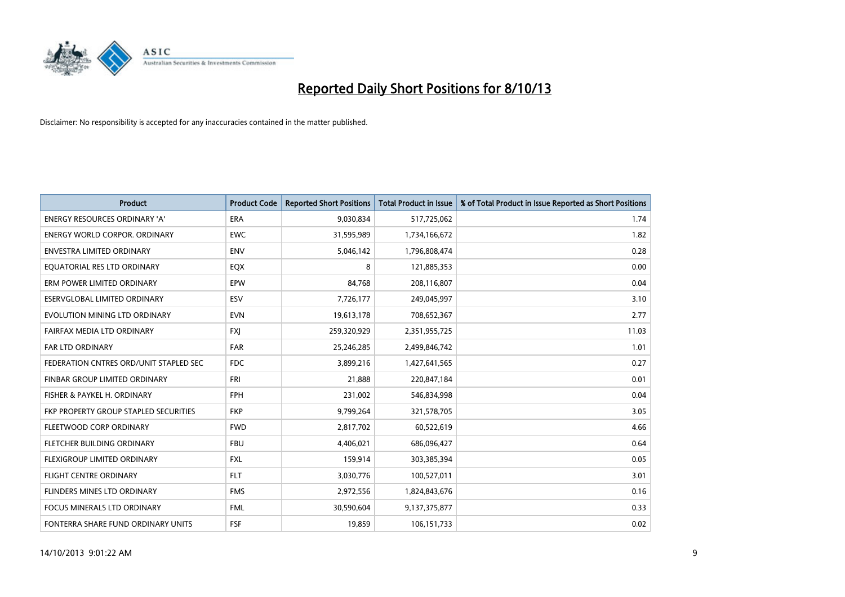

| <b>Product</b>                         | <b>Product Code</b> | <b>Reported Short Positions</b> | <b>Total Product in Issue</b> | % of Total Product in Issue Reported as Short Positions |
|----------------------------------------|---------------------|---------------------------------|-------------------------------|---------------------------------------------------------|
| <b>ENERGY RESOURCES ORDINARY 'A'</b>   | ERA                 | 9,030,834                       | 517,725,062                   | 1.74                                                    |
| <b>ENERGY WORLD CORPOR, ORDINARY</b>   | <b>EWC</b>          | 31,595,989                      | 1,734,166,672                 | 1.82                                                    |
| <b>ENVESTRA LIMITED ORDINARY</b>       | <b>ENV</b>          | 5,046,142                       | 1,796,808,474                 | 0.28                                                    |
| EQUATORIAL RES LTD ORDINARY            | EQX                 | 8                               | 121,885,353                   | 0.00                                                    |
| ERM POWER LIMITED ORDINARY             | EPW                 | 84.768                          | 208,116,807                   | 0.04                                                    |
| ESERVGLOBAL LIMITED ORDINARY           | ESV                 | 7,726,177                       | 249,045,997                   | 3.10                                                    |
| EVOLUTION MINING LTD ORDINARY          | <b>EVN</b>          | 19,613,178                      | 708,652,367                   | 2.77                                                    |
| FAIRFAX MEDIA LTD ORDINARY             | <b>FXI</b>          | 259,320,929                     | 2,351,955,725                 | 11.03                                                   |
| <b>FAR LTD ORDINARY</b>                | <b>FAR</b>          | 25,246,285                      | 2,499,846,742                 | 1.01                                                    |
| FEDERATION CNTRES ORD/UNIT STAPLED SEC | <b>FDC</b>          | 3,899,216                       | 1,427,641,565                 | 0.27                                                    |
| FINBAR GROUP LIMITED ORDINARY          | <b>FRI</b>          | 21,888                          | 220,847,184                   | 0.01                                                    |
| FISHER & PAYKEL H. ORDINARY            | FPH                 | 231,002                         | 546,834,998                   | 0.04                                                    |
| FKP PROPERTY GROUP STAPLED SECURITIES  | <b>FKP</b>          | 9,799,264                       | 321,578,705                   | 3.05                                                    |
| FLEETWOOD CORP ORDINARY                | <b>FWD</b>          | 2,817,702                       | 60,522,619                    | 4.66                                                    |
| FLETCHER BUILDING ORDINARY             | <b>FBU</b>          | 4,406,021                       | 686,096,427                   | 0.64                                                    |
| FLEXIGROUP LIMITED ORDINARY            | <b>FXL</b>          | 159,914                         | 303,385,394                   | 0.05                                                    |
| <b>FLIGHT CENTRE ORDINARY</b>          | <b>FLT</b>          | 3,030,776                       | 100,527,011                   | 3.01                                                    |
| FLINDERS MINES LTD ORDINARY            | <b>FMS</b>          | 2,972,556                       | 1,824,843,676                 | 0.16                                                    |
| <b>FOCUS MINERALS LTD ORDINARY</b>     | <b>FML</b>          | 30,590,604                      | 9,137,375,877                 | 0.33                                                    |
| FONTERRA SHARE FUND ORDINARY UNITS     | <b>FSF</b>          | 19.859                          | 106,151,733                   | 0.02                                                    |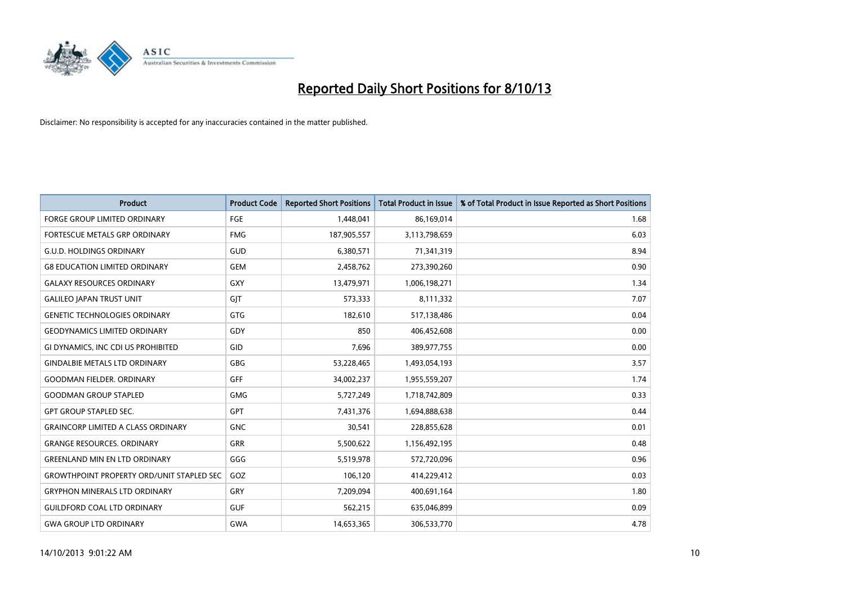

| <b>Product</b>                                   | <b>Product Code</b> | <b>Reported Short Positions</b> | <b>Total Product in Issue</b> | % of Total Product in Issue Reported as Short Positions |
|--------------------------------------------------|---------------------|---------------------------------|-------------------------------|---------------------------------------------------------|
| <b>FORGE GROUP LIMITED ORDINARY</b>              | <b>FGE</b>          | 1,448,041                       | 86,169,014                    | 1.68                                                    |
| FORTESCUE METALS GRP ORDINARY                    | <b>FMG</b>          | 187,905,557                     | 3,113,798,659                 | 6.03                                                    |
| <b>G.U.D. HOLDINGS ORDINARY</b>                  | GUD                 | 6,380,571                       | 71,341,319                    | 8.94                                                    |
| <b>G8 EDUCATION LIMITED ORDINARY</b>             | <b>GEM</b>          | 2,458,762                       | 273,390,260                   | 0.90                                                    |
| <b>GALAXY RESOURCES ORDINARY</b>                 | GXY                 | 13,479,971                      | 1,006,198,271                 | 1.34                                                    |
| <b>GALILEO JAPAN TRUST UNIT</b>                  | GJT                 | 573,333                         | 8,111,332                     | 7.07                                                    |
| <b>GENETIC TECHNOLOGIES ORDINARY</b>             | <b>GTG</b>          | 182,610                         | 517,138,486                   | 0.04                                                    |
| <b>GEODYNAMICS LIMITED ORDINARY</b>              | GDY                 | 850                             | 406,452,608                   | 0.00                                                    |
| GI DYNAMICS, INC CDI US PROHIBITED               | GID                 | 7,696                           | 389,977,755                   | 0.00                                                    |
| <b>GINDALBIE METALS LTD ORDINARY</b>             | GBG                 | 53,228,465                      | 1,493,054,193                 | 3.57                                                    |
| <b>GOODMAN FIELDER, ORDINARY</b>                 | <b>GFF</b>          | 34,002,237                      | 1,955,559,207                 | 1.74                                                    |
| <b>GOODMAN GROUP STAPLED</b>                     | <b>GMG</b>          | 5,727,249                       | 1,718,742,809                 | 0.33                                                    |
| <b>GPT GROUP STAPLED SEC.</b>                    | GPT                 | 7,431,376                       | 1,694,888,638                 | 0.44                                                    |
| <b>GRAINCORP LIMITED A CLASS ORDINARY</b>        | <b>GNC</b>          | 30,541                          | 228,855,628                   | 0.01                                                    |
| <b>GRANGE RESOURCES, ORDINARY</b>                | <b>GRR</b>          | 5,500,622                       | 1,156,492,195                 | 0.48                                                    |
| <b>GREENLAND MIN EN LTD ORDINARY</b>             | GGG                 | 5,519,978                       | 572,720,096                   | 0.96                                                    |
| <b>GROWTHPOINT PROPERTY ORD/UNIT STAPLED SEC</b> | GOZ                 | 106,120                         | 414,229,412                   | 0.03                                                    |
| <b>GRYPHON MINERALS LTD ORDINARY</b>             | GRY                 | 7,209,094                       | 400,691,164                   | 1.80                                                    |
| <b>GUILDFORD COAL LTD ORDINARY</b>               | <b>GUF</b>          | 562,215                         | 635,046,899                   | 0.09                                                    |
| <b>GWA GROUP LTD ORDINARY</b>                    | <b>GWA</b>          | 14,653,365                      | 306,533,770                   | 4.78                                                    |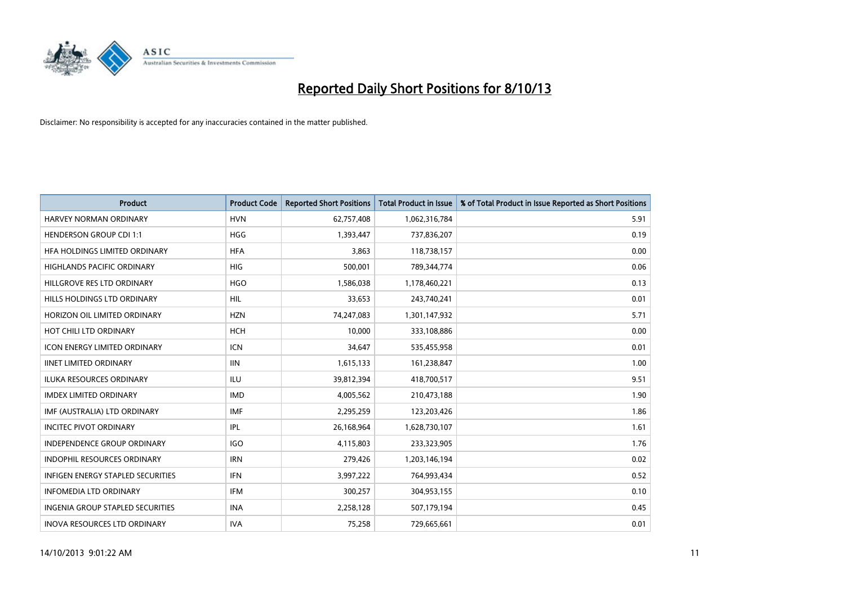

| <b>Product</b>                          | <b>Product Code</b> | <b>Reported Short Positions</b> | <b>Total Product in Issue</b> | % of Total Product in Issue Reported as Short Positions |
|-----------------------------------------|---------------------|---------------------------------|-------------------------------|---------------------------------------------------------|
| <b>HARVEY NORMAN ORDINARY</b>           | <b>HVN</b>          | 62,757,408                      | 1,062,316,784                 | 5.91                                                    |
| <b>HENDERSON GROUP CDI 1:1</b>          | <b>HGG</b>          | 1,393,447                       | 737,836,207                   | 0.19                                                    |
| HFA HOLDINGS LIMITED ORDINARY           | <b>HFA</b>          | 3,863                           | 118,738,157                   | 0.00                                                    |
| HIGHLANDS PACIFIC ORDINARY              | <b>HIG</b>          | 500,001                         | 789,344,774                   | 0.06                                                    |
| HILLGROVE RES LTD ORDINARY              | <b>HGO</b>          | 1,586,038                       | 1,178,460,221                 | 0.13                                                    |
| HILLS HOLDINGS LTD ORDINARY             | <b>HIL</b>          | 33,653                          | 243,740,241                   | 0.01                                                    |
| HORIZON OIL LIMITED ORDINARY            | <b>HZN</b>          | 74,247,083                      | 1,301,147,932                 | 5.71                                                    |
| HOT CHILI LTD ORDINARY                  | <b>HCH</b>          | 10,000                          | 333,108,886                   | 0.00                                                    |
| <b>ICON ENERGY LIMITED ORDINARY</b>     | <b>ICN</b>          | 34,647                          | 535,455,958                   | 0.01                                                    |
| <b>IINET LIMITED ORDINARY</b>           | <b>IIN</b>          | 1,615,133                       | 161,238,847                   | 1.00                                                    |
| ILUKA RESOURCES ORDINARY                | ILU                 | 39,812,394                      | 418,700,517                   | 9.51                                                    |
| <b>IMDEX LIMITED ORDINARY</b>           | <b>IMD</b>          | 4,005,562                       | 210,473,188                   | 1.90                                                    |
| IMF (AUSTRALIA) LTD ORDINARY            | <b>IMF</b>          | 2,295,259                       | 123,203,426                   | 1.86                                                    |
| <b>INCITEC PIVOT ORDINARY</b>           | IPL                 | 26,168,964                      | 1,628,730,107                 | 1.61                                                    |
| <b>INDEPENDENCE GROUP ORDINARY</b>      | <b>IGO</b>          | 4,115,803                       | 233,323,905                   | 1.76                                                    |
| INDOPHIL RESOURCES ORDINARY             | <b>IRN</b>          | 279,426                         | 1,203,146,194                 | 0.02                                                    |
| INFIGEN ENERGY STAPLED SECURITIES       | <b>IFN</b>          | 3,997,222                       | 764,993,434                   | 0.52                                                    |
| <b>INFOMEDIA LTD ORDINARY</b>           | <b>IFM</b>          | 300,257                         | 304,953,155                   | 0.10                                                    |
| <b>INGENIA GROUP STAPLED SECURITIES</b> | <b>INA</b>          | 2,258,128                       | 507,179,194                   | 0.45                                                    |
| INOVA RESOURCES LTD ORDINARY            | <b>IVA</b>          | 75,258                          | 729,665,661                   | 0.01                                                    |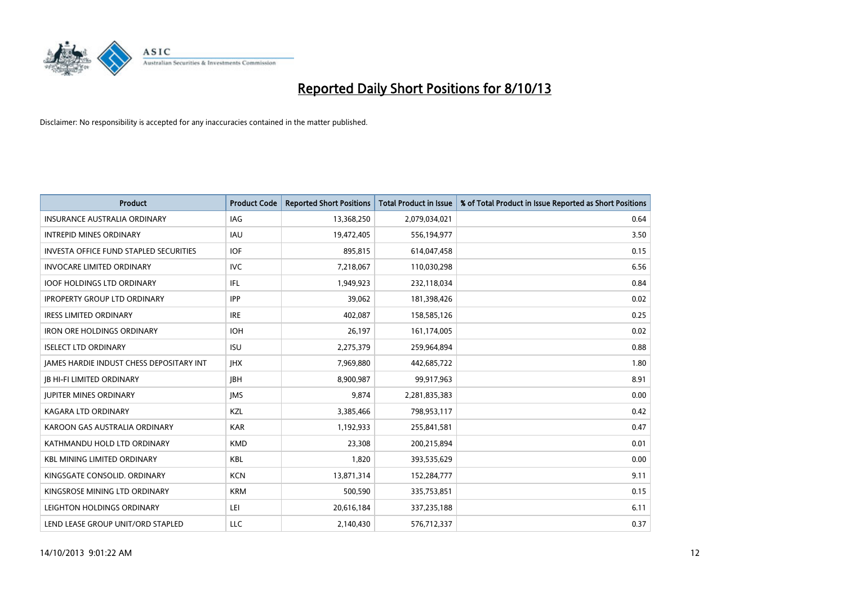

| <b>Product</b>                                  | <b>Product Code</b> | <b>Reported Short Positions</b> | <b>Total Product in Issue</b> | % of Total Product in Issue Reported as Short Positions |
|-------------------------------------------------|---------------------|---------------------------------|-------------------------------|---------------------------------------------------------|
| <b>INSURANCE AUSTRALIA ORDINARY</b>             | IAG                 | 13,368,250                      | 2,079,034,021                 | 0.64                                                    |
| <b>INTREPID MINES ORDINARY</b>                  | <b>IAU</b>          | 19,472,405                      | 556,194,977                   | 3.50                                                    |
| <b>INVESTA OFFICE FUND STAPLED SECURITIES</b>   | IOF                 | 895,815                         | 614,047,458                   | 0.15                                                    |
| <b>INVOCARE LIMITED ORDINARY</b>                | <b>IVC</b>          | 7,218,067                       | 110,030,298                   | 6.56                                                    |
| <b>IOOF HOLDINGS LTD ORDINARY</b>               | IFL                 | 1,949,923                       | 232,118,034                   | 0.84                                                    |
| <b>IPROPERTY GROUP LTD ORDINARY</b>             | <b>IPP</b>          | 39,062                          | 181,398,426                   | 0.02                                                    |
| <b>IRESS LIMITED ORDINARY</b>                   | <b>IRE</b>          | 402.087                         | 158,585,126                   | 0.25                                                    |
| <b>IRON ORE HOLDINGS ORDINARY</b>               | <b>IOH</b>          | 26,197                          | 161,174,005                   | 0.02                                                    |
| <b>ISELECT LTD ORDINARY</b>                     | <b>ISU</b>          | 2,275,379                       | 259,964,894                   | 0.88                                                    |
| <b>IAMES HARDIE INDUST CHESS DEPOSITARY INT</b> | <b>IHX</b>          | 7,969,880                       | 442,685,722                   | 1.80                                                    |
| <b>JB HI-FI LIMITED ORDINARY</b>                | <b>IBH</b>          | 8,900,987                       | 99,917,963                    | 8.91                                                    |
| <b>JUPITER MINES ORDINARY</b>                   | <b>IMS</b>          | 9,874                           | 2,281,835,383                 | 0.00                                                    |
| <b>KAGARA LTD ORDINARY</b>                      | KZL                 | 3,385,466                       | 798,953,117                   | 0.42                                                    |
| KAROON GAS AUSTRALIA ORDINARY                   | <b>KAR</b>          | 1,192,933                       | 255,841,581                   | 0.47                                                    |
| KATHMANDU HOLD LTD ORDINARY                     | <b>KMD</b>          | 23,308                          | 200,215,894                   | 0.01                                                    |
| <b>KBL MINING LIMITED ORDINARY</b>              | <b>KBL</b>          | 1,820                           | 393,535,629                   | 0.00                                                    |
| KINGSGATE CONSOLID. ORDINARY                    | <b>KCN</b>          | 13,871,314                      | 152,284,777                   | 9.11                                                    |
| KINGSROSE MINING LTD ORDINARY                   | <b>KRM</b>          | 500,590                         | 335,753,851                   | 0.15                                                    |
| LEIGHTON HOLDINGS ORDINARY                      | LEI                 | 20,616,184                      | 337,235,188                   | 6.11                                                    |
| LEND LEASE GROUP UNIT/ORD STAPLED               | <b>LLC</b>          | 2,140,430                       | 576,712,337                   | 0.37                                                    |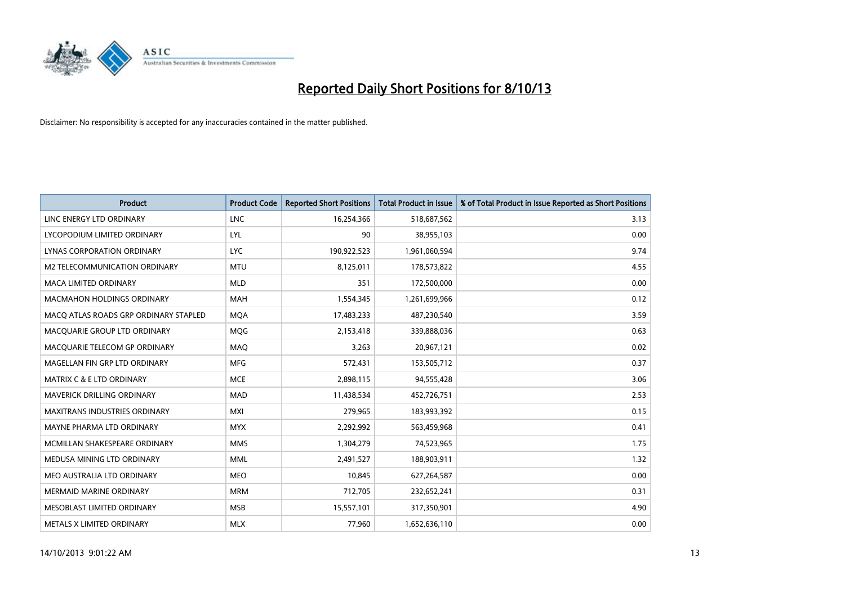

| <b>Product</b>                        | <b>Product Code</b> | <b>Reported Short Positions</b> | <b>Total Product in Issue</b> | % of Total Product in Issue Reported as Short Positions |
|---------------------------------------|---------------------|---------------------------------|-------------------------------|---------------------------------------------------------|
| LINC ENERGY LTD ORDINARY              | <b>LNC</b>          | 16,254,366                      | 518,687,562                   | 3.13                                                    |
| LYCOPODIUM LIMITED ORDINARY           | LYL                 | 90                              | 38,955,103                    | 0.00                                                    |
| <b>LYNAS CORPORATION ORDINARY</b>     | <b>LYC</b>          | 190,922,523                     | 1,961,060,594                 | 9.74                                                    |
| M2 TELECOMMUNICATION ORDINARY         | <b>MTU</b>          | 8,125,011                       | 178,573,822                   | 4.55                                                    |
| <b>MACA LIMITED ORDINARY</b>          | <b>MLD</b>          | 351                             | 172,500,000                   | 0.00                                                    |
| <b>MACMAHON HOLDINGS ORDINARY</b>     | <b>MAH</b>          | 1,554,345                       | 1,261,699,966                 | 0.12                                                    |
| MACO ATLAS ROADS GRP ORDINARY STAPLED | <b>MOA</b>          | 17,483,233                      | 487,230,540                   | 3.59                                                    |
| MACQUARIE GROUP LTD ORDINARY          | <b>MQG</b>          | 2,153,418                       | 339,888,036                   | 0.63                                                    |
| MACQUARIE TELECOM GP ORDINARY         | MAQ                 | 3,263                           | 20,967,121                    | 0.02                                                    |
| MAGELLAN FIN GRP LTD ORDINARY         | <b>MFG</b>          | 572,431                         | 153,505,712                   | 0.37                                                    |
| MATRIX C & E LTD ORDINARY             | <b>MCE</b>          | 2,898,115                       | 94,555,428                    | 3.06                                                    |
| <b>MAVERICK DRILLING ORDINARY</b>     | <b>MAD</b>          | 11,438,534                      | 452,726,751                   | 2.53                                                    |
| MAXITRANS INDUSTRIES ORDINARY         | <b>MXI</b>          | 279,965                         | 183,993,392                   | 0.15                                                    |
| MAYNE PHARMA LTD ORDINARY             | <b>MYX</b>          | 2,292,992                       | 563,459,968                   | 0.41                                                    |
| MCMILLAN SHAKESPEARE ORDINARY         | <b>MMS</b>          | 1,304,279                       | 74,523,965                    | 1.75                                                    |
| MEDUSA MINING LTD ORDINARY            | <b>MML</b>          | 2,491,527                       | 188,903,911                   | 1.32                                                    |
| MEO AUSTRALIA LTD ORDINARY            | <b>MEO</b>          | 10,845                          | 627,264,587                   | 0.00                                                    |
| <b>MERMAID MARINE ORDINARY</b>        | <b>MRM</b>          | 712,705                         | 232,652,241                   | 0.31                                                    |
| MESOBLAST LIMITED ORDINARY            | <b>MSB</b>          | 15,557,101                      | 317,350,901                   | 4.90                                                    |
| METALS X LIMITED ORDINARY             | <b>MLX</b>          | 77,960                          | 1,652,636,110                 | 0.00                                                    |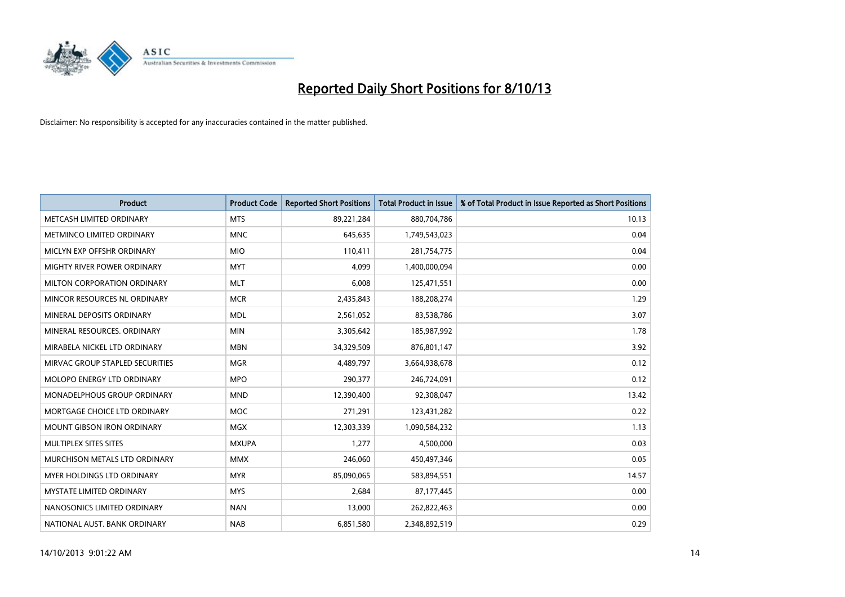

| <b>Product</b>                     | <b>Product Code</b> | <b>Reported Short Positions</b> | <b>Total Product in Issue</b> | % of Total Product in Issue Reported as Short Positions |
|------------------------------------|---------------------|---------------------------------|-------------------------------|---------------------------------------------------------|
| METCASH LIMITED ORDINARY           | <b>MTS</b>          | 89,221,284                      | 880,704,786                   | 10.13                                                   |
| METMINCO LIMITED ORDINARY          | <b>MNC</b>          | 645,635                         | 1,749,543,023                 | 0.04                                                    |
| MICLYN EXP OFFSHR ORDINARY         | <b>MIO</b>          | 110,411                         | 281,754,775                   | 0.04                                                    |
| MIGHTY RIVER POWER ORDINARY        | <b>MYT</b>          | 4,099                           | 1,400,000,094                 | 0.00                                                    |
| MILTON CORPORATION ORDINARY        | <b>MLT</b>          | 6,008                           | 125,471,551                   | 0.00                                                    |
| MINCOR RESOURCES NL ORDINARY       | <b>MCR</b>          | 2,435,843                       | 188,208,274                   | 1.29                                                    |
| MINERAL DEPOSITS ORDINARY          | <b>MDL</b>          | 2,561,052                       | 83,538,786                    | 3.07                                                    |
| MINERAL RESOURCES. ORDINARY        | <b>MIN</b>          | 3,305,642                       | 185,987,992                   | 1.78                                                    |
| MIRABELA NICKEL LTD ORDINARY       | <b>MBN</b>          | 34,329,509                      | 876,801,147                   | 3.92                                                    |
| MIRVAC GROUP STAPLED SECURITIES    | <b>MGR</b>          | 4,489,797                       | 3,664,938,678                 | 0.12                                                    |
| MOLOPO ENERGY LTD ORDINARY         | <b>MPO</b>          | 290,377                         | 246,724,091                   | 0.12                                                    |
| <b>MONADELPHOUS GROUP ORDINARY</b> | <b>MND</b>          | 12,390,400                      | 92,308,047                    | 13.42                                                   |
| MORTGAGE CHOICE LTD ORDINARY       | <b>MOC</b>          | 271,291                         | 123,431,282                   | 0.22                                                    |
| <b>MOUNT GIBSON IRON ORDINARY</b>  | <b>MGX</b>          | 12,303,339                      | 1,090,584,232                 | 1.13                                                    |
| MULTIPLEX SITES SITES              | <b>MXUPA</b>        | 1,277                           | 4,500,000                     | 0.03                                                    |
| MURCHISON METALS LTD ORDINARY      | <b>MMX</b>          | 246,060                         | 450,497,346                   | 0.05                                                    |
| MYER HOLDINGS LTD ORDINARY         | <b>MYR</b>          | 85,090,065                      | 583,894,551                   | 14.57                                                   |
| MYSTATE LIMITED ORDINARY           | <b>MYS</b>          | 2,684                           | 87,177,445                    | 0.00                                                    |
| NANOSONICS LIMITED ORDINARY        | <b>NAN</b>          | 13,000                          | 262,822,463                   | 0.00                                                    |
| NATIONAL AUST. BANK ORDINARY       | <b>NAB</b>          | 6,851,580                       | 2,348,892,519                 | 0.29                                                    |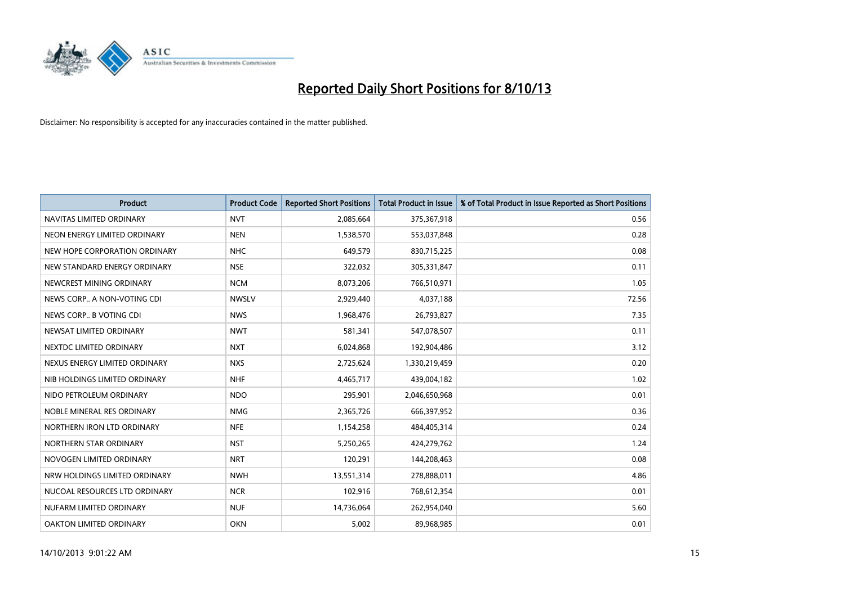

| <b>Product</b>                | <b>Product Code</b> | <b>Reported Short Positions</b> | <b>Total Product in Issue</b> | % of Total Product in Issue Reported as Short Positions |
|-------------------------------|---------------------|---------------------------------|-------------------------------|---------------------------------------------------------|
| NAVITAS LIMITED ORDINARY      | <b>NVT</b>          | 2,085,664                       | 375,367,918                   | 0.56                                                    |
| NEON ENERGY LIMITED ORDINARY  | <b>NEN</b>          | 1,538,570                       | 553,037,848                   | 0.28                                                    |
| NEW HOPE CORPORATION ORDINARY | <b>NHC</b>          | 649,579                         | 830,715,225                   | 0.08                                                    |
| NEW STANDARD ENERGY ORDINARY  | <b>NSE</b>          | 322,032                         | 305,331,847                   | 0.11                                                    |
| NEWCREST MINING ORDINARY      | <b>NCM</b>          | 8,073,206                       | 766,510,971                   | 1.05                                                    |
| NEWS CORP A NON-VOTING CDI    | <b>NWSLV</b>        | 2,929,440                       | 4,037,188                     | 72.56                                                   |
| NEWS CORP B VOTING CDI        | <b>NWS</b>          | 1,968,476                       | 26,793,827                    | 7.35                                                    |
| NEWSAT LIMITED ORDINARY       | <b>NWT</b>          | 581,341                         | 547,078,507                   | 0.11                                                    |
| NEXTDC LIMITED ORDINARY       | <b>NXT</b>          | 6,024,868                       | 192,904,486                   | 3.12                                                    |
| NEXUS ENERGY LIMITED ORDINARY | <b>NXS</b>          | 2,725,624                       | 1,330,219,459                 | 0.20                                                    |
| NIB HOLDINGS LIMITED ORDINARY | <b>NHF</b>          | 4,465,717                       | 439,004,182                   | 1.02                                                    |
| NIDO PETROLEUM ORDINARY       | <b>NDO</b>          | 295,901                         | 2,046,650,968                 | 0.01                                                    |
| NOBLE MINERAL RES ORDINARY    | <b>NMG</b>          | 2,365,726                       | 666,397,952                   | 0.36                                                    |
| NORTHERN IRON LTD ORDINARY    | <b>NFE</b>          | 1,154,258                       | 484,405,314                   | 0.24                                                    |
| NORTHERN STAR ORDINARY        | <b>NST</b>          | 5,250,265                       | 424,279,762                   | 1.24                                                    |
| NOVOGEN LIMITED ORDINARY      | <b>NRT</b>          | 120,291                         | 144,208,463                   | 0.08                                                    |
| NRW HOLDINGS LIMITED ORDINARY | <b>NWH</b>          | 13,551,314                      | 278,888,011                   | 4.86                                                    |
| NUCOAL RESOURCES LTD ORDINARY | <b>NCR</b>          | 102,916                         | 768,612,354                   | 0.01                                                    |
| NUFARM LIMITED ORDINARY       | <b>NUF</b>          | 14,736,064                      | 262,954,040                   | 5.60                                                    |
| OAKTON LIMITED ORDINARY       | <b>OKN</b>          | 5,002                           | 89,968,985                    | 0.01                                                    |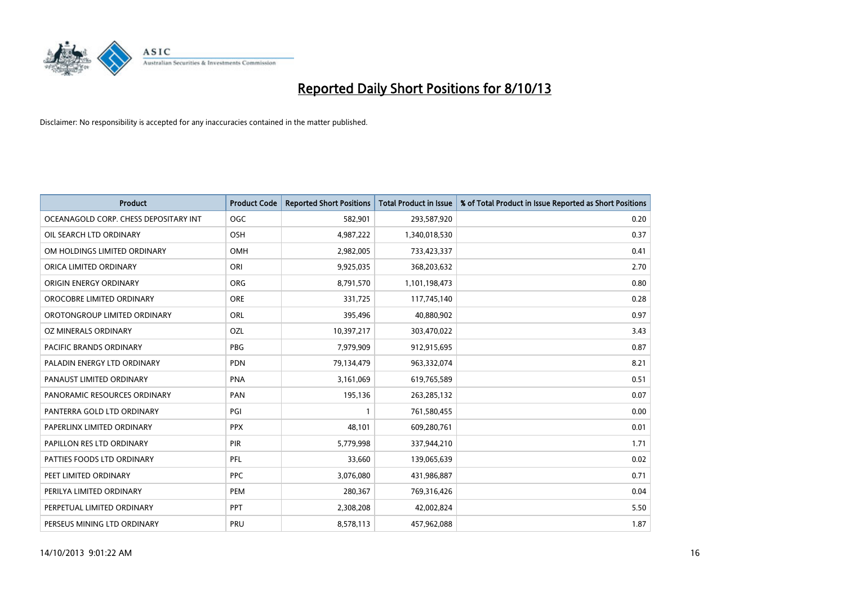

| <b>Product</b>                        | <b>Product Code</b> | <b>Reported Short Positions</b> | <b>Total Product in Issue</b> | % of Total Product in Issue Reported as Short Positions |
|---------------------------------------|---------------------|---------------------------------|-------------------------------|---------------------------------------------------------|
| OCEANAGOLD CORP. CHESS DEPOSITARY INT | <b>OGC</b>          | 582,901                         | 293,587,920                   | 0.20                                                    |
| OIL SEARCH LTD ORDINARY               | <b>OSH</b>          | 4,987,222                       | 1,340,018,530                 | 0.37                                                    |
| OM HOLDINGS LIMITED ORDINARY          | OMH                 | 2,982,005                       | 733,423,337                   | 0.41                                                    |
| ORICA LIMITED ORDINARY                | ORI                 | 9,925,035                       | 368,203,632                   | 2.70                                                    |
| ORIGIN ENERGY ORDINARY                | <b>ORG</b>          | 8,791,570                       | 1,101,198,473                 | 0.80                                                    |
| OROCOBRE LIMITED ORDINARY             | <b>ORE</b>          | 331,725                         | 117,745,140                   | 0.28                                                    |
| OROTONGROUP LIMITED ORDINARY          | ORL                 | 395,496                         | 40,880,902                    | 0.97                                                    |
| OZ MINERALS ORDINARY                  | OZL                 | 10,397,217                      | 303,470,022                   | 3.43                                                    |
| <b>PACIFIC BRANDS ORDINARY</b>        | <b>PBG</b>          | 7,979,909                       | 912,915,695                   | 0.87                                                    |
| PALADIN ENERGY LTD ORDINARY           | <b>PDN</b>          | 79,134,479                      | 963,332,074                   | 8.21                                                    |
| PANAUST LIMITED ORDINARY              | <b>PNA</b>          | 3,161,069                       | 619,765,589                   | 0.51                                                    |
| PANORAMIC RESOURCES ORDINARY          | PAN                 | 195,136                         | 263,285,132                   | 0.07                                                    |
| PANTERRA GOLD LTD ORDINARY            | PGI                 | $\mathbf{1}$                    | 761,580,455                   | 0.00                                                    |
| PAPERLINX LIMITED ORDINARY            | <b>PPX</b>          | 48,101                          | 609,280,761                   | 0.01                                                    |
| PAPILLON RES LTD ORDINARY             | PIR                 | 5,779,998                       | 337,944,210                   | 1.71                                                    |
| PATTIES FOODS LTD ORDINARY            | PFL                 | 33,660                          | 139,065,639                   | 0.02                                                    |
| PEET LIMITED ORDINARY                 | <b>PPC</b>          | 3,076,080                       | 431,986,887                   | 0.71                                                    |
| PERILYA LIMITED ORDINARY              | <b>PEM</b>          | 280,367                         | 769,316,426                   | 0.04                                                    |
| PERPETUAL LIMITED ORDINARY            | <b>PPT</b>          | 2,308,208                       | 42,002,824                    | 5.50                                                    |
| PERSEUS MINING LTD ORDINARY           | PRU                 | 8,578,113                       | 457,962,088                   | 1.87                                                    |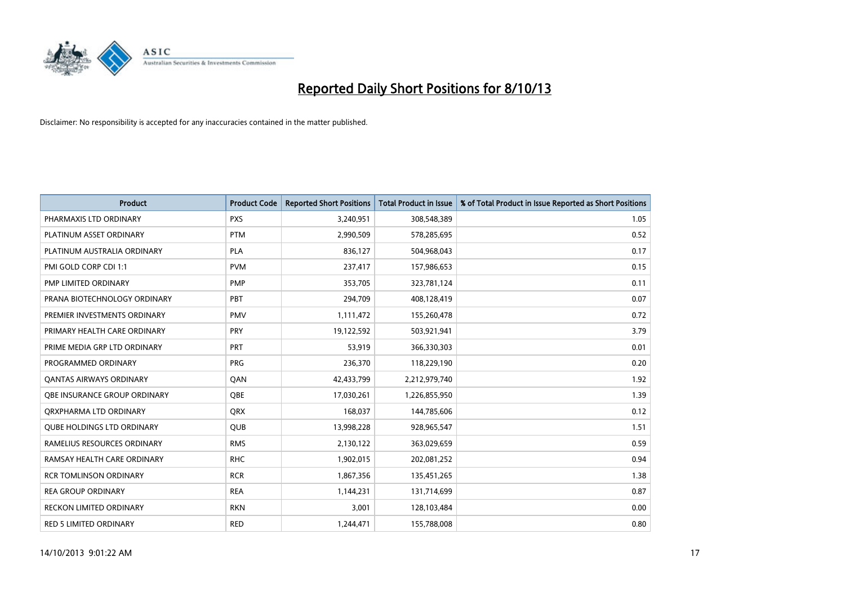

| <b>Product</b>                      | <b>Product Code</b> | <b>Reported Short Positions</b> | <b>Total Product in Issue</b> | % of Total Product in Issue Reported as Short Positions |
|-------------------------------------|---------------------|---------------------------------|-------------------------------|---------------------------------------------------------|
| PHARMAXIS LTD ORDINARY              | <b>PXS</b>          | 3,240,951                       | 308,548,389                   | 1.05                                                    |
| PLATINUM ASSET ORDINARY             | <b>PTM</b>          | 2,990,509                       | 578,285,695                   | 0.52                                                    |
| PLATINUM AUSTRALIA ORDINARY         | <b>PLA</b>          | 836,127                         | 504,968,043                   | 0.17                                                    |
| PMI GOLD CORP CDI 1:1               | <b>PVM</b>          | 237,417                         | 157,986,653                   | 0.15                                                    |
| PMP LIMITED ORDINARY                | <b>PMP</b>          | 353,705                         | 323,781,124                   | 0.11                                                    |
| PRANA BIOTECHNOLOGY ORDINARY        | PBT                 | 294,709                         | 408,128,419                   | 0.07                                                    |
| PREMIER INVESTMENTS ORDINARY        | <b>PMV</b>          | 1,111,472                       | 155,260,478                   | 0.72                                                    |
| PRIMARY HEALTH CARE ORDINARY        | <b>PRY</b>          | 19,122,592                      | 503,921,941                   | 3.79                                                    |
| PRIME MEDIA GRP LTD ORDINARY        | <b>PRT</b>          | 53,919                          | 366,330,303                   | 0.01                                                    |
| PROGRAMMED ORDINARY                 | <b>PRG</b>          | 236,370                         | 118,229,190                   | 0.20                                                    |
| <b>QANTAS AIRWAYS ORDINARY</b>      | QAN                 | 42,433,799                      | 2,212,979,740                 | 1.92                                                    |
| <b>OBE INSURANCE GROUP ORDINARY</b> | <b>OBE</b>          | 17,030,261                      | 1,226,855,950                 | 1.39                                                    |
| ORXPHARMA LTD ORDINARY              | <b>QRX</b>          | 168.037                         | 144,785,606                   | 0.12                                                    |
| <b>OUBE HOLDINGS LTD ORDINARY</b>   | <b>QUB</b>          | 13,998,228                      | 928,965,547                   | 1.51                                                    |
| RAMELIUS RESOURCES ORDINARY         | <b>RMS</b>          | 2,130,122                       | 363,029,659                   | 0.59                                                    |
| RAMSAY HEALTH CARE ORDINARY         | <b>RHC</b>          | 1,902,015                       | 202,081,252                   | 0.94                                                    |
| <b>RCR TOMLINSON ORDINARY</b>       | <b>RCR</b>          | 1,867,356                       | 135,451,265                   | 1.38                                                    |
| <b>REA GROUP ORDINARY</b>           | <b>REA</b>          | 1,144,231                       | 131,714,699                   | 0.87                                                    |
| <b>RECKON LIMITED ORDINARY</b>      | <b>RKN</b>          | 3,001                           | 128,103,484                   | 0.00                                                    |
| <b>RED 5 LIMITED ORDINARY</b>       | <b>RED</b>          | 1,244,471                       | 155,788,008                   | 0.80                                                    |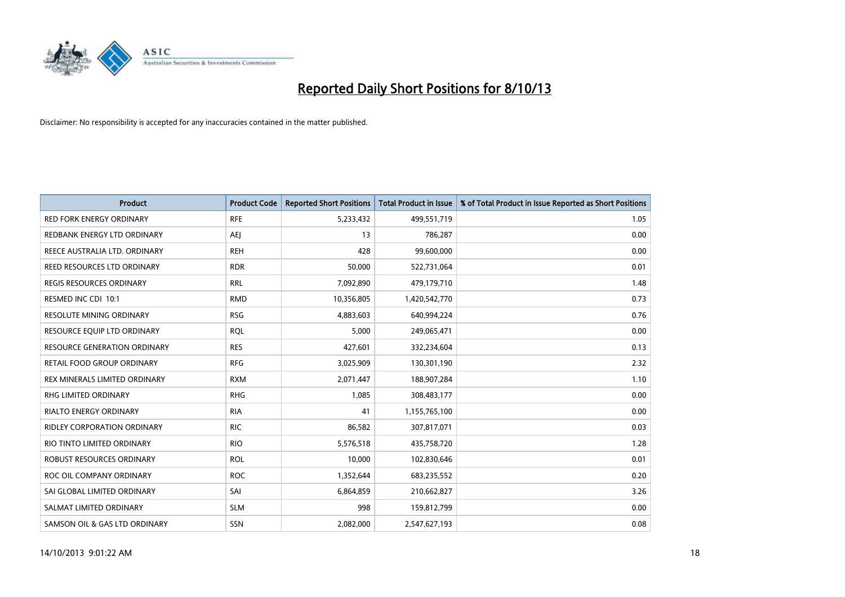

| <b>Product</b>                      | <b>Product Code</b> | <b>Reported Short Positions</b> | <b>Total Product in Issue</b> | % of Total Product in Issue Reported as Short Positions |
|-------------------------------------|---------------------|---------------------------------|-------------------------------|---------------------------------------------------------|
| <b>RED FORK ENERGY ORDINARY</b>     | <b>RFE</b>          | 5,233,432                       | 499,551,719                   | 1.05                                                    |
| REDBANK ENERGY LTD ORDINARY         | AEJ                 | 13                              | 786,287                       | 0.00                                                    |
| REECE AUSTRALIA LTD. ORDINARY       | <b>REH</b>          | 428                             | 99,600,000                    | 0.00                                                    |
| REED RESOURCES LTD ORDINARY         | <b>RDR</b>          | 50,000                          | 522,731,064                   | 0.01                                                    |
| <b>REGIS RESOURCES ORDINARY</b>     | <b>RRL</b>          | 7,092,890                       | 479,179,710                   | 1.48                                                    |
| RESMED INC CDI 10:1                 | <b>RMD</b>          | 10,356,805                      | 1,420,542,770                 | 0.73                                                    |
| <b>RESOLUTE MINING ORDINARY</b>     | <b>RSG</b>          | 4,883,603                       | 640,994,224                   | 0.76                                                    |
| RESOURCE EQUIP LTD ORDINARY         | <b>RQL</b>          | 5,000                           | 249,065,471                   | 0.00                                                    |
| <b>RESOURCE GENERATION ORDINARY</b> | <b>RES</b>          | 427,601                         | 332,234,604                   | 0.13                                                    |
| RETAIL FOOD GROUP ORDINARY          | <b>RFG</b>          | 3,025,909                       | 130,301,190                   | 2.32                                                    |
| REX MINERALS LIMITED ORDINARY       | <b>RXM</b>          | 2,071,447                       | 188,907,284                   | 1.10                                                    |
| RHG LIMITED ORDINARY                | <b>RHG</b>          | 1,085                           | 308,483,177                   | 0.00                                                    |
| <b>RIALTO ENERGY ORDINARY</b>       | <b>RIA</b>          | 41                              | 1,155,765,100                 | 0.00                                                    |
| RIDLEY CORPORATION ORDINARY         | <b>RIC</b>          | 86,582                          | 307,817,071                   | 0.03                                                    |
| RIO TINTO LIMITED ORDINARY          | <b>RIO</b>          | 5,576,518                       | 435,758,720                   | 1.28                                                    |
| ROBUST RESOURCES ORDINARY           | <b>ROL</b>          | 10,000                          | 102,830,646                   | 0.01                                                    |
| ROC OIL COMPANY ORDINARY            | <b>ROC</b>          | 1,352,644                       | 683,235,552                   | 0.20                                                    |
| SAI GLOBAL LIMITED ORDINARY         | SAI                 | 6,864,859                       | 210,662,827                   | 3.26                                                    |
| SALMAT LIMITED ORDINARY             | <b>SLM</b>          | 998                             | 159,812,799                   | 0.00                                                    |
| SAMSON OIL & GAS LTD ORDINARY       | SSN                 | 2,082,000                       | 2,547,627,193                 | 0.08                                                    |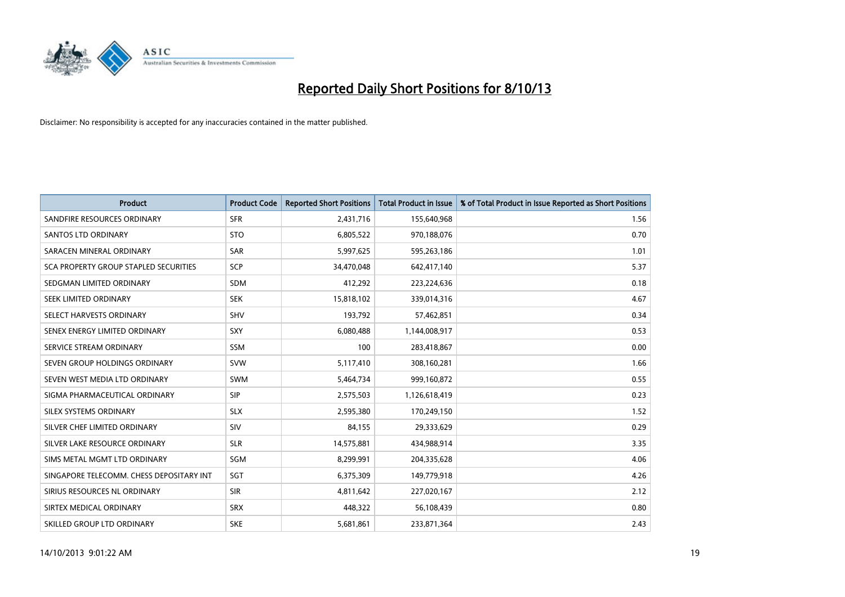

| <b>Product</b>                           | <b>Product Code</b> | <b>Reported Short Positions</b> | <b>Total Product in Issue</b> | % of Total Product in Issue Reported as Short Positions |
|------------------------------------------|---------------------|---------------------------------|-------------------------------|---------------------------------------------------------|
| SANDFIRE RESOURCES ORDINARY              | <b>SFR</b>          | 2,431,716                       | 155,640,968                   | 1.56                                                    |
| SANTOS LTD ORDINARY                      | <b>STO</b>          | 6,805,522                       | 970,188,076                   | 0.70                                                    |
| SARACEN MINERAL ORDINARY                 | <b>SAR</b>          | 5,997,625                       | 595,263,186                   | 1.01                                                    |
| SCA PROPERTY GROUP STAPLED SECURITIES    | SCP                 | 34,470,048                      | 642,417,140                   | 5.37                                                    |
| SEDGMAN LIMITED ORDINARY                 | <b>SDM</b>          | 412,292                         | 223,224,636                   | 0.18                                                    |
| SEEK LIMITED ORDINARY                    | <b>SEK</b>          | 15,818,102                      | 339,014,316                   | 4.67                                                    |
| SELECT HARVESTS ORDINARY                 | <b>SHV</b>          | 193,792                         | 57,462,851                    | 0.34                                                    |
| SENEX ENERGY LIMITED ORDINARY            | <b>SXY</b>          | 6,080,488                       | 1,144,008,917                 | 0.53                                                    |
| SERVICE STREAM ORDINARY                  | SSM                 | 100                             | 283,418,867                   | 0.00                                                    |
| SEVEN GROUP HOLDINGS ORDINARY            | <b>SVW</b>          | 5,117,410                       | 308,160,281                   | 1.66                                                    |
| SEVEN WEST MEDIA LTD ORDINARY            | SWM                 | 5,464,734                       | 999,160,872                   | 0.55                                                    |
| SIGMA PHARMACEUTICAL ORDINARY            | <b>SIP</b>          | 2,575,503                       | 1,126,618,419                 | 0.23                                                    |
| SILEX SYSTEMS ORDINARY                   | <b>SLX</b>          | 2,595,380                       | 170,249,150                   | 1.52                                                    |
| SILVER CHEF LIMITED ORDINARY             | SIV                 | 84,155                          | 29,333,629                    | 0.29                                                    |
| SILVER LAKE RESOURCE ORDINARY            | <b>SLR</b>          | 14,575,881                      | 434,988,914                   | 3.35                                                    |
| SIMS METAL MGMT LTD ORDINARY             | SGM                 | 8,299,991                       | 204,335,628                   | 4.06                                                    |
| SINGAPORE TELECOMM. CHESS DEPOSITARY INT | SGT                 | 6,375,309                       | 149,779,918                   | 4.26                                                    |
| SIRIUS RESOURCES NL ORDINARY             | <b>SIR</b>          | 4,811,642                       | 227,020,167                   | 2.12                                                    |
| SIRTEX MEDICAL ORDINARY                  | <b>SRX</b>          | 448,322                         | 56,108,439                    | 0.80                                                    |
| SKILLED GROUP LTD ORDINARY               | <b>SKE</b>          | 5,681,861                       | 233,871,364                   | 2.43                                                    |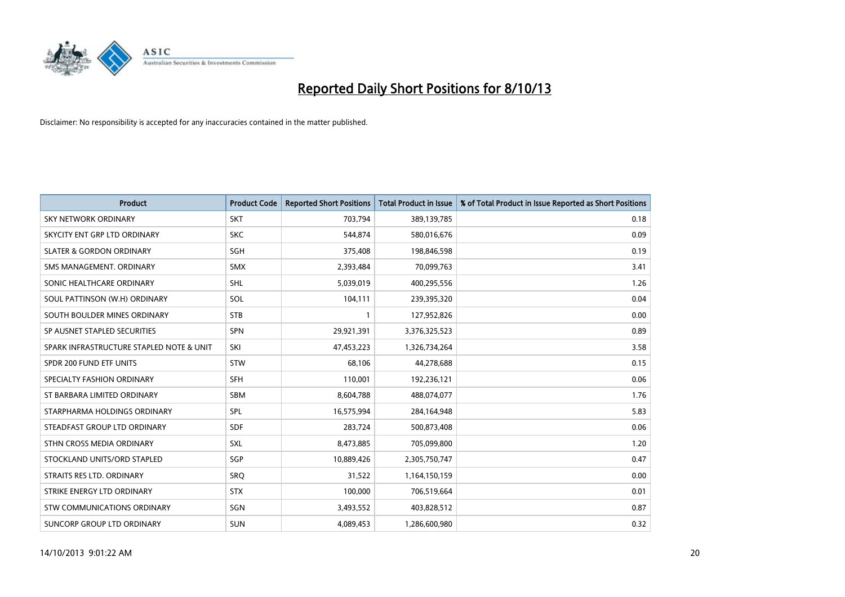

| <b>Product</b>                           | <b>Product Code</b> | <b>Reported Short Positions</b> | <b>Total Product in Issue</b> | % of Total Product in Issue Reported as Short Positions |
|------------------------------------------|---------------------|---------------------------------|-------------------------------|---------------------------------------------------------|
| <b>SKY NETWORK ORDINARY</b>              | <b>SKT</b>          | 703,794                         | 389,139,785                   | 0.18                                                    |
| SKYCITY ENT GRP LTD ORDINARY             | <b>SKC</b>          | 544,874                         | 580,016,676                   | 0.09                                                    |
| <b>SLATER &amp; GORDON ORDINARY</b>      | SGH                 | 375,408                         | 198,846,598                   | 0.19                                                    |
| SMS MANAGEMENT. ORDINARY                 | <b>SMX</b>          | 2,393,484                       | 70,099,763                    | 3.41                                                    |
| SONIC HEALTHCARE ORDINARY                | <b>SHL</b>          | 5,039,019                       | 400,295,556                   | 1.26                                                    |
| SOUL PATTINSON (W.H) ORDINARY            | SOL                 | 104,111                         | 239,395,320                   | 0.04                                                    |
| SOUTH BOULDER MINES ORDINARY             | <b>STB</b>          | $\mathbf{1}$                    | 127,952,826                   | 0.00                                                    |
| SP AUSNET STAPLED SECURITIES             | SPN                 | 29,921,391                      | 3,376,325,523                 | 0.89                                                    |
| SPARK INFRASTRUCTURE STAPLED NOTE & UNIT | SKI                 | 47,453,223                      | 1,326,734,264                 | 3.58                                                    |
| SPDR 200 FUND ETF UNITS                  | <b>STW</b>          | 68,106                          | 44,278,688                    | 0.15                                                    |
| SPECIALTY FASHION ORDINARY               | <b>SFH</b>          | 110,001                         | 192,236,121                   | 0.06                                                    |
| ST BARBARA LIMITED ORDINARY              | SBM                 | 8,604,788                       | 488,074,077                   | 1.76                                                    |
| STARPHARMA HOLDINGS ORDINARY             | SPL                 | 16,575,994                      | 284,164,948                   | 5.83                                                    |
| STEADFAST GROUP LTD ORDINARY             | SDF                 | 283,724                         | 500,873,408                   | 0.06                                                    |
| STHN CROSS MEDIA ORDINARY                | <b>SXL</b>          | 8,473,885                       | 705,099,800                   | 1.20                                                    |
| STOCKLAND UNITS/ORD STAPLED              | SGP                 | 10,889,426                      | 2,305,750,747                 | 0.47                                                    |
| STRAITS RES LTD. ORDINARY                | SRQ                 | 31,522                          | 1,164,150,159                 | 0.00                                                    |
| STRIKE ENERGY LTD ORDINARY               | <b>STX</b>          | 100,000                         | 706,519,664                   | 0.01                                                    |
| STW COMMUNICATIONS ORDINARY              | SGN                 | 3,493,552                       | 403,828,512                   | 0.87                                                    |
| SUNCORP GROUP LTD ORDINARY               | <b>SUN</b>          | 4,089,453                       | 1,286,600,980                 | 0.32                                                    |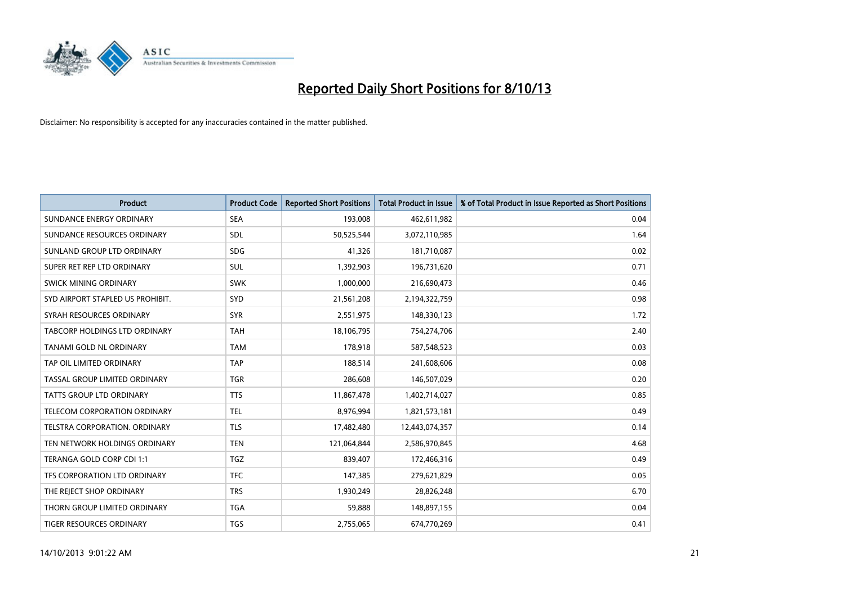

| <b>Product</b>                   | <b>Product Code</b> | <b>Reported Short Positions</b> | <b>Total Product in Issue</b> | % of Total Product in Issue Reported as Short Positions |
|----------------------------------|---------------------|---------------------------------|-------------------------------|---------------------------------------------------------|
| SUNDANCE ENERGY ORDINARY         | <b>SEA</b>          | 193,008                         | 462,611,982                   | 0.04                                                    |
| SUNDANCE RESOURCES ORDINARY      | SDL                 | 50,525,544                      | 3,072,110,985                 | 1.64                                                    |
| SUNLAND GROUP LTD ORDINARY       | <b>SDG</b>          | 41,326                          | 181,710,087                   | 0.02                                                    |
| SUPER RET REP LTD ORDINARY       | SUL                 | 1,392,903                       | 196,731,620                   | 0.71                                                    |
| SWICK MINING ORDINARY            | <b>SWK</b>          | 1,000,000                       | 216,690,473                   | 0.46                                                    |
| SYD AIRPORT STAPLED US PROHIBIT. | <b>SYD</b>          | 21,561,208                      | 2,194,322,759                 | 0.98                                                    |
| SYRAH RESOURCES ORDINARY         | <b>SYR</b>          | 2,551,975                       | 148,330,123                   | 1.72                                                    |
| TABCORP HOLDINGS LTD ORDINARY    | <b>TAH</b>          | 18,106,795                      | 754,274,706                   | 2.40                                                    |
| TANAMI GOLD NL ORDINARY          | <b>TAM</b>          | 178,918                         | 587,548,523                   | 0.03                                                    |
| TAP OIL LIMITED ORDINARY         | <b>TAP</b>          | 188,514                         | 241,608,606                   | 0.08                                                    |
| TASSAL GROUP LIMITED ORDINARY    | <b>TGR</b>          | 286,608                         | 146,507,029                   | 0.20                                                    |
| <b>TATTS GROUP LTD ORDINARY</b>  | <b>TTS</b>          | 11,867,478                      | 1,402,714,027                 | 0.85                                                    |
| TELECOM CORPORATION ORDINARY     | <b>TEL</b>          | 8,976,994                       | 1,821,573,181                 | 0.49                                                    |
| TELSTRA CORPORATION. ORDINARY    | <b>TLS</b>          | 17,482,480                      | 12,443,074,357                | 0.14                                                    |
| TEN NETWORK HOLDINGS ORDINARY    | <b>TEN</b>          | 121,064,844                     | 2,586,970,845                 | 4.68                                                    |
| TERANGA GOLD CORP CDI 1:1        | <b>TGZ</b>          | 839,407                         | 172,466,316                   | 0.49                                                    |
| TFS CORPORATION LTD ORDINARY     | <b>TFC</b>          | 147,385                         | 279,621,829                   | 0.05                                                    |
| THE REJECT SHOP ORDINARY         | <b>TRS</b>          | 1,930,249                       | 28,826,248                    | 6.70                                                    |
| THORN GROUP LIMITED ORDINARY     | <b>TGA</b>          | 59,888                          | 148,897,155                   | 0.04                                                    |
| <b>TIGER RESOURCES ORDINARY</b>  | <b>TGS</b>          | 2,755,065                       | 674.770.269                   | 0.41                                                    |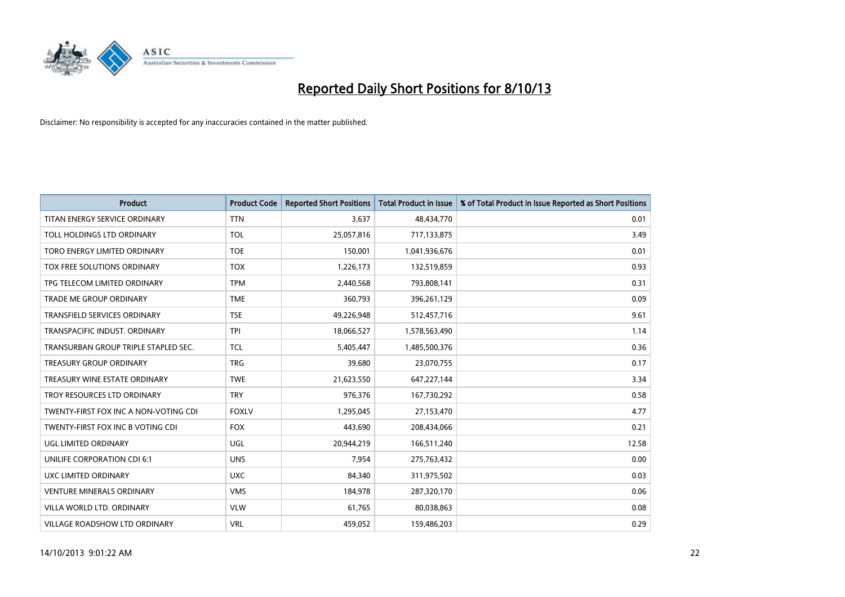

| <b>Product</b>                        | <b>Product Code</b> | <b>Reported Short Positions</b> | <b>Total Product in Issue</b> | % of Total Product in Issue Reported as Short Positions |
|---------------------------------------|---------------------|---------------------------------|-------------------------------|---------------------------------------------------------|
| TITAN ENERGY SERVICE ORDINARY         | <b>TTN</b>          | 3,637                           | 48,434,770                    | 0.01                                                    |
| TOLL HOLDINGS LTD ORDINARY            | <b>TOL</b>          | 25,057,816                      | 717,133,875                   | 3.49                                                    |
| TORO ENERGY LIMITED ORDINARY          | <b>TOE</b>          | 150,001                         | 1,041,936,676                 | 0.01                                                    |
| TOX FREE SOLUTIONS ORDINARY           | <b>TOX</b>          | 1,226,173                       | 132,519,859                   | 0.93                                                    |
| TPG TELECOM LIMITED ORDINARY          | <b>TPM</b>          | 2,440,568                       | 793,808,141                   | 0.31                                                    |
| <b>TRADE ME GROUP ORDINARY</b>        | <b>TME</b>          | 360,793                         | 396,261,129                   | 0.09                                                    |
| <b>TRANSFIELD SERVICES ORDINARY</b>   | <b>TSE</b>          | 49,226,948                      | 512,457,716                   | 9.61                                                    |
| TRANSPACIFIC INDUST. ORDINARY         | <b>TPI</b>          | 18,066,527                      | 1,578,563,490                 | 1.14                                                    |
| TRANSURBAN GROUP TRIPLE STAPLED SEC.  | <b>TCL</b>          | 5,405,447                       | 1,485,500,376                 | 0.36                                                    |
| <b>TREASURY GROUP ORDINARY</b>        | <b>TRG</b>          | 39,680                          | 23,070,755                    | 0.17                                                    |
| TREASURY WINE ESTATE ORDINARY         | <b>TWE</b>          | 21,623,550                      | 647,227,144                   | 3.34                                                    |
| TROY RESOURCES LTD ORDINARY           | <b>TRY</b>          | 976,376                         | 167,730,292                   | 0.58                                                    |
| TWENTY-FIRST FOX INC A NON-VOTING CDI | <b>FOXLV</b>        | 1,295,045                       | 27,153,470                    | 4.77                                                    |
| TWENTY-FIRST FOX INC B VOTING CDI     | <b>FOX</b>          | 443,690                         | 208,434,066                   | 0.21                                                    |
| UGL LIMITED ORDINARY                  | UGL                 | 20,944,219                      | 166,511,240                   | 12.58                                                   |
| UNILIFE CORPORATION CDI 6:1           | <b>UNS</b>          | 7,954                           | 275,763,432                   | 0.00                                                    |
| UXC LIMITED ORDINARY                  | <b>UXC</b>          | 84,340                          | 311,975,502                   | 0.03                                                    |
| <b>VENTURE MINERALS ORDINARY</b>      | <b>VMS</b>          | 184,978                         | 287,320,170                   | 0.06                                                    |
| VILLA WORLD LTD, ORDINARY             | <b>VLW</b>          | 61,765                          | 80,038,863                    | 0.08                                                    |
| VILLAGE ROADSHOW LTD ORDINARY         | <b>VRL</b>          | 459,052                         | 159,486,203                   | 0.29                                                    |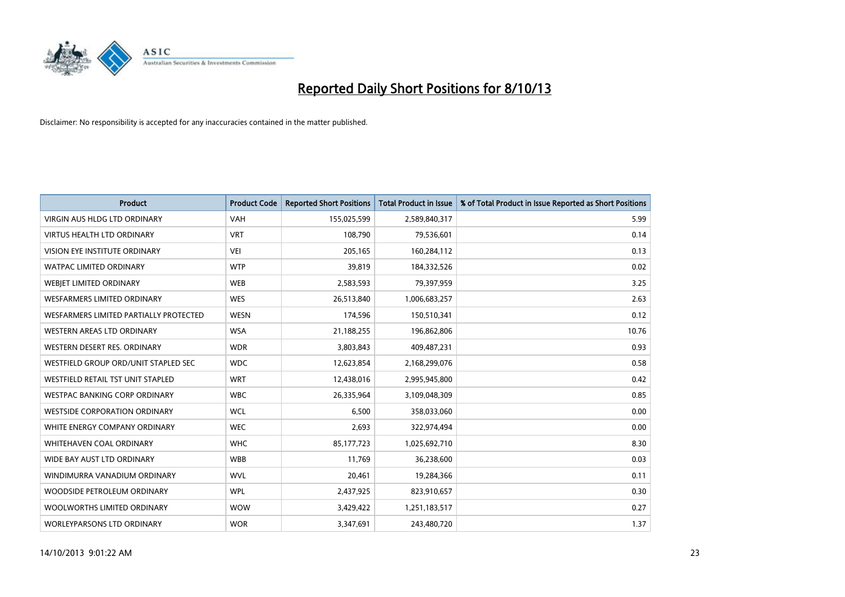

| <b>Product</b>                         | <b>Product Code</b> | <b>Reported Short Positions</b> | <b>Total Product in Issue</b> | % of Total Product in Issue Reported as Short Positions |
|----------------------------------------|---------------------|---------------------------------|-------------------------------|---------------------------------------------------------|
| VIRGIN AUS HLDG LTD ORDINARY           | <b>VAH</b>          | 155,025,599                     | 2,589,840,317                 | 5.99                                                    |
| VIRTUS HEALTH LTD ORDINARY             | <b>VRT</b>          | 108,790                         | 79,536,601                    | 0.14                                                    |
| <b>VISION EYE INSTITUTE ORDINARY</b>   | <b>VEI</b>          | 205,165                         | 160,284,112                   | 0.13                                                    |
| WATPAC LIMITED ORDINARY                | <b>WTP</b>          | 39,819                          | 184,332,526                   | 0.02                                                    |
| WEBIET LIMITED ORDINARY                | <b>WEB</b>          | 2,583,593                       | 79,397,959                    | 3.25                                                    |
| <b>WESFARMERS LIMITED ORDINARY</b>     | <b>WES</b>          | 26,513,840                      | 1,006,683,257                 | 2.63                                                    |
| WESFARMERS LIMITED PARTIALLY PROTECTED | <b>WESN</b>         | 174,596                         | 150,510,341                   | 0.12                                                    |
| WESTERN AREAS LTD ORDINARY             | <b>WSA</b>          | 21,188,255                      | 196,862,806                   | 10.76                                                   |
| WESTERN DESERT RES. ORDINARY           | <b>WDR</b>          | 3,803,843                       | 409,487,231                   | 0.93                                                    |
| WESTFIELD GROUP ORD/UNIT STAPLED SEC   | <b>WDC</b>          | 12,623,854                      | 2,168,299,076                 | 0.58                                                    |
| WESTFIELD RETAIL TST UNIT STAPLED      | <b>WRT</b>          | 12,438,016                      | 2,995,945,800                 | 0.42                                                    |
| <b>WESTPAC BANKING CORP ORDINARY</b>   | <b>WBC</b>          | 26,335,964                      | 3,109,048,309                 | 0.85                                                    |
| <b>WESTSIDE CORPORATION ORDINARY</b>   | <b>WCL</b>          | 6,500                           | 358,033,060                   | 0.00                                                    |
| WHITE ENERGY COMPANY ORDINARY          | <b>WEC</b>          | 2,693                           | 322,974,494                   | 0.00                                                    |
| WHITEHAVEN COAL ORDINARY               | <b>WHC</b>          | 85,177,723                      | 1,025,692,710                 | 8.30                                                    |
| WIDE BAY AUST LTD ORDINARY             | <b>WBB</b>          | 11,769                          | 36,238,600                    | 0.03                                                    |
| WINDIMURRA VANADIUM ORDINARY           | <b>WVL</b>          | 20,461                          | 19,284,366                    | 0.11                                                    |
| WOODSIDE PETROLEUM ORDINARY            | <b>WPL</b>          | 2,437,925                       | 823,910,657                   | 0.30                                                    |
| WOOLWORTHS LIMITED ORDINARY            | <b>WOW</b>          | 3,429,422                       | 1,251,183,517                 | 0.27                                                    |
| WORLEYPARSONS LTD ORDINARY             | <b>WOR</b>          | 3,347,691                       | 243,480,720                   | 1.37                                                    |